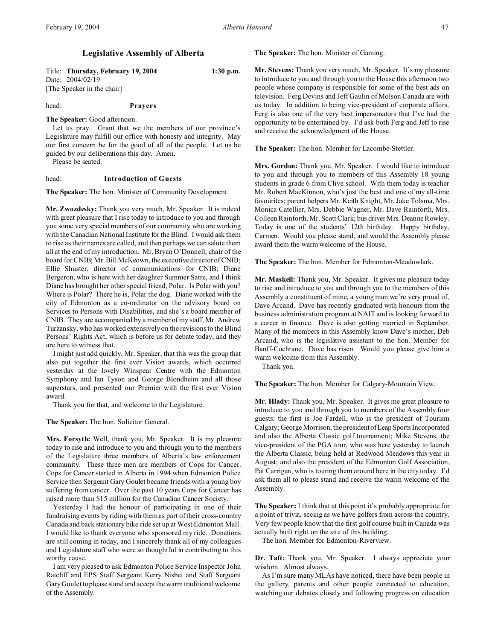# **Legislative Assembly of Alberta**

Title: **Thursday, February 19, 2004 1:30 p.m.** Date: 2004/02/19 [The Speaker in the chair]

head: **Prayers**

**The Speaker:** Good afternoon.

Let us pray. Grant that we the members of our province's Legislature may fulfill our office with honesty and integrity. May our first concern be for the good of all of the people. Let us be guided by our deliberations this day. Amen.

Please be seated.

### head: **Introduction of Guests**

**The Speaker:** The hon. Minister of Community Development.

**Mr. Zwozdesky:** Thank you very much, Mr. Speaker. It is indeed with great pleasure that I rise today to introduce to you and through you some very special members of our community who are working with the Canadian National Institute for the Blind. I would ask them to rise as their names are called, and then perhaps we can salute them all at the end of my introduction. Mr. Bryan O'Donnell, chair of the board for CNIB; Mr. Bill McKeown, the executive director of CNIB; Ellie Shuster, director of communications for CNIB; Diane Bergeron, who is here with her daughter Summer Satre, and I think Diane has brought her other special friend, Polar. Is Polar with you? Where is Polar? There he is, Polar the dog. Diane worked with the city of Edmonton as a co-ordinator on the advisory board on Services to Persons with Disabilities, and she's a board member of CNIB. They are accompanied by a member of my staff, Mr. Andrew Turzansky, who has worked extensively on the revisions to the Blind Persons' Rights Act, which is before us for debate today, and they are here to witness that.

I might just add quickly, Mr. Speaker, that this was the group that also put together the first ever Vision awards, which occurred yesterday at the lovely Winspear Centre with the Edmonton Symphony and Ian Tyson and George Blondheim and all those superstars, and presented our Premier with the first ever Vision award.

Thank you for that, and welcome to the Legislature.

**The Speaker:** The hon. Solicitor General.

**Mrs. Forsyth:** Well, thank you, Mr. Speaker. It is my pleasure today to rise and introduce to you and through you to the members of the Legislature three members of Alberta's law enforcement community. These three men are members of Cops for Cancer. Cops for Cancer started in Alberta in 1994 when Edmonton Police Service then Sergeant Gary Goulet became friends with a young boy suffering from cancer. Over the past 10 years Cops for Cancer has raised more than \$15 million for the Canadian Cancer Society.

Yesterday I had the honour of participating in one of their fundraising events by riding with them as part of their cross-country Canada and back stationary bike ride set up at West Edmonton Mall. I would like to thank everyone who sponsored my ride. Donations are still coming in today, and I sincerely thank all of my colleagues and Legislature staff who were so thoughtful in contributing to this worthy cause.

I am very pleased to ask Edmonton Police Service Inspector John Ratcliff and EPS Staff Sergeant Kerry Nisbet and Staff Sergeant Gary Goulet to please stand and accept the warm traditional welcome of the Assembly.

**The Speaker:** The hon. Minister of Gaming.

**Mr. Stevens:** Thank you very much, Mr. Speaker. It's my pleasure to introduce to you and through you to the House this afternoon two people whose company is responsible for some of the best ads on television. Ferg Devins and Jeff Gaulin of Molson Canada are with us today. In addition to being vice-president of corporate affairs, Ferg is also one of the very best impersonators that I've had the opportunity to be entertained by. I'd ask both Ferg and Jeff to rise and receive the acknowledgment of the House.

**The Speaker:** The hon. Member for Lacombe-Stettler.

**Mrs. Gordon:** Thank you, Mr. Speaker. I would like to introduce to you and through you to members of this Assembly 18 young students in grade 6 from Clive school. With them today is teacher Mr. Robert MacKinnon, who's just the best and one of my all-time favourites; parent helpers Mr. Keith Knight, Mr. Jake Tolsma, Mrs. Monica Catellier, Mrs. Debbie Wagner, Mr. Dave Rainforth, Mrs. Colleen Rainforth, Mr. Scott Clark; bus driver Mrs. Deanne Rowley. Today is one of the students' 12th birthday. Happy birthday, Carmen. Would you please stand, and would the Assembly please award them the warm welcome of the House.

**The Speaker:** The hon. Member for Edmonton-Meadowlark.

**Mr. Maskell:** Thank you, Mr. Speaker. It gives me pleasure today to rise and introduce to you and through you to the members of this Assembly a constituent of mine, a young man we're very proud of, Dave Arcand. Dave has recently graduated with honours from the business administration program at NAIT and is looking forward to a career in finance. Dave is also getting married in September. Many of the members in this Assembly know Dave's mother, Deb Arcand, who is the legislative assistant to the hon. Member for Banff-Cochrane. Dave has risen. Would you please give him a warm welcome from this Assembly.

Thank you.

**The Speaker:** The hon. Member for Calgary-Mountain View.

**Mr. Hlady:** Thank you, Mr. Speaker. It gives me great pleasure to introduce to you and through you to members of the Assembly four guests: the first is Joe Fardell, who is the president of Tourism Calgary; George Morrison, the presidentofLeapSports Incorporated and also the Alberta Classic golf tournament; Mike Stevens, the vice-president of the PGA tour, who was here yesterday to launch the Alberta Classic, being held at Redwood Meadows this year in August; and also the president of the Edmonton Golf Association, Pat Carrigan, who is touring them around here in the city today. I'd ask them all to please stand and receive the warm welcome of the Assembly.

**The Speaker:** I think that at this point it's probably appropriate for a point of trivia, seeing as we have golfers from across the country. Very few people know that the first golf course built in Canada was actually built right on the site of this building.

The hon. Member for Edmonton-Riverview.

**Dr. Taft:** Thank you, Mr. Speaker. I always appreciate your wisdom. Almost always.

As I'm sure many MLAs have noticed, there have been people in the gallery, parents and other people connected to education, watching our debates closely and following progress on education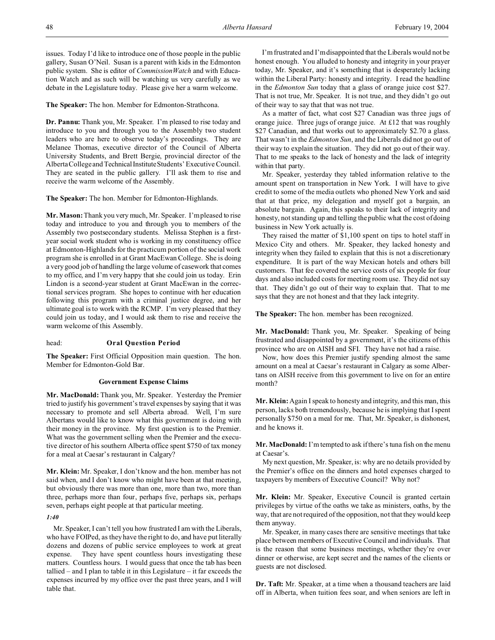issues. Today I'd like to introduce one of those people in the public gallery, Susan O'Neil. Susan is a parent with kids in the Edmonton public system. She is editor of *CommissionWatch* and with Education Watch and as such will be watching us very carefully as we debate in the Legislature today. Please give her a warm welcome.

**The Speaker:** The hon. Member for Edmonton-Strathcona.

**Dr. Pannu:** Thank you, Mr. Speaker. I'm pleased to rise today and introduce to you and through you to the Assembly two student leaders who are here to observe today's proceedings. They are Melanee Thomas, executive director of the Council of Alberta University Students, and Brett Bergie, provincial director of the Alberta College and Technical Institute Students' Executive Council. They are seated in the public gallery. I'll ask them to rise and receive the warm welcome of the Assembly.

**The Speaker:** The hon. Member for Edmonton-Highlands.

**Mr. Mason:** Thank you very much, Mr. Speaker. I'm pleased to rise today and introduce to you and through you to members of the Assembly two postsecondary students. Melissa Stephen is a firstyear social work student who is working in my constituency office at Edmonton-Highlands for the practicum portion of the social work program she is enrolled in at Grant MacEwan College. She is doing a very good job of handling the large volume of casework that comes to my office, and I'm very happy that she could join us today. Erin Lindon is a second-year student at Grant MacEwan in the correctional services program. She hopes to continue with her education following this program with a criminal justice degree, and her ultimate goal is to work with the RCMP. I'm very pleased that they could join us today, and I would ask them to rise and receive the warm welcome of this Assembly.

### head: **Oral Question Period**

**The Speaker:** First Official Opposition main question. The hon. Member for Edmonton-Gold Bar.

### **Government Expense Claims**

**Mr. MacDonald:** Thank you, Mr. Speaker. Yesterday the Premier tried to justify his government's travel expenses by saying that it was necessary to promote and sell Alberta abroad. Well, I'm sure Albertans would like to know what this government is doing with their money in the province. My first question is to the Premier. What was the government selling when the Premier and the executive director of his southern Alberta office spent \$750 of tax money for a meal at Caesar's restaurant in Calgary?

**Mr. Klein:** Mr. Speaker, I don't know and the hon. member has not said when, and I don't know who might have been at that meeting, but obviously there was more than one, more than two, more than three, perhaps more than four, perhaps five, perhaps six, perhaps seven, perhaps eight people at that particular meeting.

#### *1:40*

Mr. Speaker, I can't tell you how frustrated I am with the Liberals, who have FOIPed, as they have the right to do, and have put literally dozens and dozens of public service employees to work at great expense. They have spent countless hours investigating these matters. Countless hours. I would guess that once the tab has been tallied – and I plan to table it in this Legislature – it far exceeds the expenses incurred by my office over the past three years, and I will table that.

I'm frustrated and I'm disappointed that the Liberals would not be honest enough. You alluded to honesty and integrity in your prayer today, Mr. Speaker, and it's something that is desperately lacking within the Liberal Party: honesty and integrity. I read the headline in the *Edmonton Sun* today that a glass of orange juice cost \$27. That is not true, Mr. Speaker. It is not true, and they didn't go out of their way to say that that was not true.

As a matter of fact, what cost \$27 Canadian was three jugs of orange juice. Three jugs of orange juice. At £12 that was roughly \$27 Canadian, and that works out to approximately \$2.70 a glass. That wasn't in the *Edmonton Sun*, and the Liberals did not go out of their way to explain the situation. They did not go out of their way. That to me speaks to the lack of honesty and the lack of integrity within that party.

Mr. Speaker, yesterday they tabled information relative to the amount spent on transportation in New York. I will have to give credit to some of the media outlets who phoned New York and said that at that price, my delegation and myself got a bargain, an absolute bargain. Again, this speaks to their lack of integrity and honesty, not standing up and telling the public what the cost of doing business in New York actually is.

They raised the matter of \$1,100 spent on tips to hotel staff in Mexico City and others. Mr. Speaker, they lacked honesty and integrity when they failed to explain that this is not a discretionary expenditure. It is part of the way Mexican hotels and others bill customers. That fee covered the service costs of six people for four days and also included costs for meeting room use. They did not say that. They didn't go out of their way to explain that. That to me says that they are not honest and that they lack integrity.

**The Speaker:** The hon. member has been recognized.

**Mr. MacDonald:** Thank you, Mr. Speaker. Speaking of being frustrated and disappointed by a government, it's the citizens of this province who are on AISH and SFI. They have not had a raise.

Now, how does this Premier justify spending almost the same amount on a meal at Caesar's restaurant in Calgary as some Albertans on AISH receive from this government to live on for an entire month?

**Mr. Klein:** Again I speak to honesty and integrity, and this man, this person, lacks both tremendously, because he is implying that I spent personally \$750 on a meal for me. That, Mr. Speaker, is dishonest, and he knows it.

**Mr. MacDonald:** I'm tempted to ask if there's tuna fish on the menu at Caesar's.

My next question, Mr. Speaker, is: why are no details provided by the Premier's office on the dinners and hotel expenses charged to taxpayers by members of Executive Council? Why not?

**Mr. Klein:** Mr. Speaker, Executive Council is granted certain privileges by virtue of the oaths we take as ministers, oaths, by the way, that are not required of the opposition, not that they would keep them anyway.

Mr. Speaker, in many cases there are sensitive meetings that take place between members of Executive Council and individuals. That is the reason that some business meetings, whether they're over dinner or otherwise, are kept secret and the names of the clients or guests are not disclosed.

**Dr. Taft:** Mr. Speaker, at a time when a thousand teachers are laid off in Alberta, when tuition fees soar, and when seniors are left in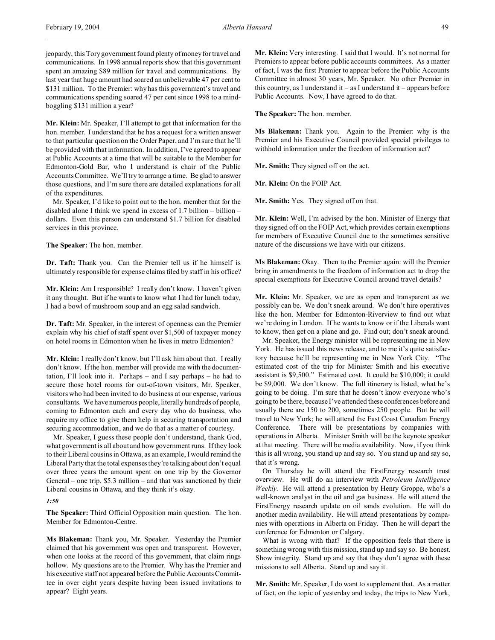jeopardy, this Tory government found plenty of money for travel and communications. In 1998 annual reports show that this government spent an amazing \$89 million for travel and communications. By last year that huge amount had soared an unbelievable 47 per cent to \$131 million. To the Premier: why has this government's travel and communications spending soared 47 per cent since 1998 to a mindboggling \$131 million a year?

**Mr. Klein:** Mr. Speaker, I'll attempt to get that information for the hon. member. I understand that he has a request for a written answer to that particular question on the Order Paper, and I'm sure that he'll be provided with that information. In addition, I've agreed to appear at Public Accounts at a time that will be suitable to the Member for Edmonton-Gold Bar, who I understand is chair of the Public Accounts Committee. We'll try to arrange a time. Be glad to answer those questions, and I'm sure there are detailed explanations for all of the expenditures.

Mr. Speaker, I'd like to point out to the hon. member that for the disabled alone I think we spend in excess of 1.7 billion – billion – dollars. Even this person can understand \$1.7 billion for disabled services in this province.

**The Speaker:** The hon. member.

**Dr. Taft:** Thank you. Can the Premier tell us if he himself is ultimately responsible for expense claims filed by staff in his office?

**Mr. Klein:** Am I responsible? I really don't know. I haven't given it any thought. But if he wants to know what I had for lunch today, I had a bowl of mushroom soup and an egg salad sandwich.

**Dr. Taft:** Mr. Speaker, in the interest of openness can the Premier explain why his chief of staff spent over \$1,500 of taxpayer money on hotel rooms in Edmonton when he lives in metro Edmonton?

**Mr. Klein:** I really don't know, but I'll ask him about that. I really don't know. If the hon. member will provide me with the documentation, I'll look into it. Perhaps – and I say perhaps – he had to secure those hotel rooms for out-of-town visitors, Mr. Speaker, visitors who had been invited to do business at our expense, various consultants. We have numerous people, literally hundreds of people, coming to Edmonton each and every day who do business, who require my office to give them help in securing transportation and securing accommodation, and we do that as a matter of courtesy.

Mr. Speaker, I guess these people don't understand, thank God, what government is all about and how government runs. If they look to their Liberal cousins in Ottawa, as an example, I would remind the Liberal Party that the total expenses they're talking about don't equal over three years the amount spent on one trip by the Governor General – one trip, \$5.3 million – and that was sanctioned by their Liberal cousins in Ottawa, and they think it's okay.

#### *1:50*

**The Speaker:** Third Official Opposition main question. The hon. Member for Edmonton-Centre.

**Ms Blakeman:** Thank you, Mr. Speaker. Yesterday the Premier claimed that his government was open and transparent. However, when one looks at the record of this government, that claim rings hollow. My questions are to the Premier. Why has the Premier and his executive staff not appeared before the Public Accounts Committee in over eight years despite having been issued invitations to appear? Eight years.

**Mr. Klein:** Very interesting. I said that I would. It's not normal for Premiers to appear before public accounts committees. As a matter of fact, I was the first Premier to appear before the Public Accounts Committee in almost 30 years, Mr. Speaker. No other Premier in this country, as I understand it – as I understand it – appears before Public Accounts. Now, I have agreed to do that.

**The Speaker:** The hon. member.

**Ms Blakeman:** Thank you. Again to the Premier: why is the Premier and his Executive Council provided special privileges to withhold information under the freedom of information act?

**Mr. Smith:** They signed off on the act.

**Mr. Klein:** On the FOIP Act.

**Mr. Smith:** Yes. They signed off on that.

**Mr. Klein:** Well, I'm advised by the hon. Minister of Energy that they signed off on the FOIP Act, which provides certain exemptions for members of Executive Council due to the sometimes sensitive nature of the discussions we have with our citizens.

**Ms Blakeman:** Okay. Then to the Premier again: will the Premier bring in amendments to the freedom of information act to drop the special exemptions for Executive Council around travel details?

**Mr. Klein:** Mr. Speaker, we are as open and transparent as we possibly can be. We don't sneak around. We don't hire operatives like the hon. Member for Edmonton-Riverview to find out what we're doing in London. If he wants to know or if the Liberals want to know, then get on a plane and go. Find out; don't sneak around.

Mr. Speaker, the Energy minister will be representing me in New York. He has issued this news release, and to me it's quite satisfactory because he'll be representing me in New York City. "The estimated cost of the trip for Minister Smith and his executive assistant is \$9,500." Estimated cost. It could be \$10,000; it could be \$9,000. We don't know. The full itinerary is listed, what he's going to be doing. I'm sure that he doesn't know everyone who's going to be there, because I've attended these conferences before and usually there are 150 to 200, sometimes 250 people. But he will travel to New York; he will attend the East Coast Canadian Energy Conference. There will be presentations by companies with operations in Alberta. Minister Smith will be the keynote speaker at that meeting. There will be media availability. Now, if you think this is all wrong, you stand up and say so. You stand up and say so, that it's wrong.

On Thursday he will attend the FirstEnergy research trust overview. He will do an interview with *Petroleum Intelligence Weekly*. He will attend a presentation by Henry Groppe, who's a well-known analyst in the oil and gas business. He will attend the FirstEnergy research update on oil sands evolution. He will do another media availability. He will attend presentations by companies with operations in Alberta on Friday. Then he will depart the conference for Edmonton or Calgary.

What is wrong with that? If the opposition feels that there is something wrong with this mission, stand up and say so. Be honest. Show integrity. Stand up and say that they don't agree with these missions to sell Alberta. Stand up and say it.

**Mr. Smith:** Mr. Speaker, I do want to supplement that. As a matter of fact, on the topic of yesterday and today, the trips to New York,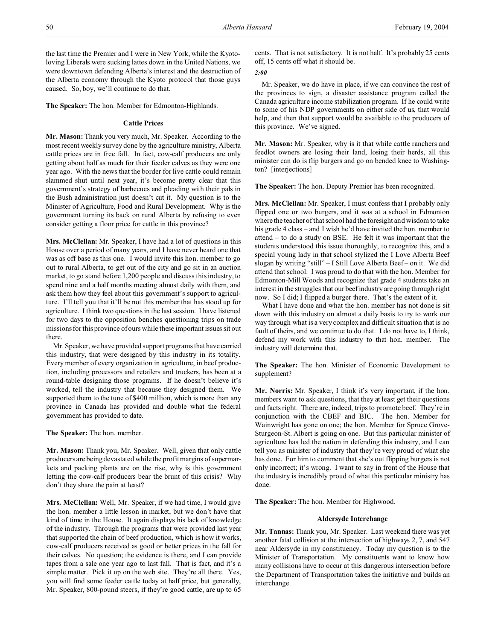the last time the Premier and I were in New York, while the Kyotoloving Liberals were sucking lattes down in the United Nations, we were downtown defending Alberta's interest and the destruction of the Alberta economy through the Kyoto protocol that those guys caused. So, boy, we'll continue to do that.

**The Speaker:** The hon. Member for Edmonton-Highlands.

# **Cattle Prices**

**Mr. Mason:** Thank you very much, Mr. Speaker. According to the most recent weekly survey done by the agriculture ministry, Alberta cattle prices are in free fall. In fact, cow-calf producers are only getting about half as much for their feeder calves as they were one year ago. With the news that the border for live cattle could remain slammed shut until next year, it's become pretty clear that this government's strategy of barbecues and pleading with their pals in the Bush administration just doesn't cut it. My question is to the Minister of Agriculture, Food and Rural Development. Why is the government turning its back on rural Alberta by refusing to even consider getting a floor price for cattle in this province?

**Mrs. McClellan:** Mr. Speaker, I have had a lot of questions in this House over a period of many years, and I have never heard one that was as off base as this one. I would invite this hon. member to go out to rural Alberta, to get out of the city and go sit in an auction market, to go stand before 1,200 people and discuss this industry, to spend nine and a half months meeting almost daily with them, and ask them how they feel about this government's support to agriculture. I'll tell you that it'll be not this member that has stood up for agriculture. I think two questions in the last session. I have listened for two days to the opposition benches questioning trips on trade missions for this province of ours while these important issues sit out there.

Mr. Speaker, we have provided support programs that have carried this industry, that were designed by this industry in its totality. Every member of every organization in agriculture, in beef production, including processors and retailers and truckers, has been at a round-table designing those programs. If he doesn't believe it's worked, tell the industry that because they designed them. We supported them to the tune of \$400 million, which is more than any province in Canada has provided and double what the federal government has provided to date.

**The Speaker:** The hon. member.

**Mr. Mason:** Thank you, Mr. Speaker. Well, given that only cattle producers are being devastated while the profit margins of supermarkets and packing plants are on the rise, why is this government letting the cow-calf producers bear the brunt of this crisis? Why don't they share the pain at least?

**Mrs. McClellan:** Well, Mr. Speaker, if we had time, I would give the hon. member a little lesson in market, but we don't have that kind of time in the House. It again displays his lack of knowledge of the industry. Through the programs that were provided last year that supported the chain of beef production, which is how it works, cow-calf producers received as good or better prices in the fall for their calves. No question; the evidence is there, and I can provide tapes from a sale one year ago to last fall. That is fact, and it's a simple matter. Pick it up on the web site. They're all there. Yes, you will find some feeder cattle today at half price, but generally, Mr. Speaker, 800-pound steers, if they're good cattle, are up to 65

cents. That is not satisfactory. It is not half. It's probably 25 cents off, 15 cents off what it should be.

*2:00*

Mr. Speaker, we do have in place, if we can convince the rest of the provinces to sign, a disaster assistance program called the Canada agriculture income stabilization program. If he could write to some of his NDP governments on either side of us, that would help, and then that support would be available to the producers of this province. We've signed.

**Mr. Mason:** Mr. Speaker, why is it that while cattle ranchers and feedlot owners are losing their land, losing their herds, all this minister can do is flip burgers and go on bended knee to Washington? [interjections]

**The Speaker:** The hon. Deputy Premier has been recognized.

**Mrs. McClellan:** Mr. Speaker, I must confess that I probably only flipped one or two burgers, and it was at a school in Edmonton where the teacher of that school had the foresight and wisdom to take his grade 4 class – and I wish he'd have invited the hon. member to attend – to do a study on BSE. He felt it was important that the students understood this issue thoroughly, to recognize this, and a special young lady in that school stylized the I Love Alberta Beef slogan by writing "still" - I Still Love Alberta Beef - on it. We did attend that school. I was proud to do that with the hon. Member for Edmonton-Mill Woods and recognize that grade 4 students take an interest in the struggles that our beef industry are going through right now. So I did; I flipped a burger there. That's the extent of it.

What I have done and what the hon. member has not done is sit down with this industry on almost a daily basis to try to work our way through what is a very complex and difficult situation that is no fault of theirs, and we continue to do that. I do not have to, I think, defend my work with this industry to that hon. member. The industry will determine that.

**The Speaker:** The hon. Minister of Economic Development to supplement?

**Mr. Norris:** Mr. Speaker, I think it's very important, if the hon. members want to ask questions, that they at least get their questions and facts right. There are, indeed, trips to promote beef. They're in conjunction with the CBEF and BIC. The hon. Member for Wainwright has gone on one; the hon. Member for Spruce Grove-Sturgeon-St. Albert is going on one. But this particular minister of agriculture has led the nation in defending this industry, and I can tell you as minister of industry that they're very proud of what she has done. For him to comment that she's out flipping burgers is not only incorrect; it's wrong. I want to say in front of the House that the industry is incredibly proud of what this particular ministry has done.

**The Speaker:** The hon. Member for Highwood.

# **Aldersyde Interchange**

**Mr. Tannas:** Thank you, Mr. Speaker. Last weekend there was yet another fatal collision at the intersection of highways 2, 7, and 547 near Aldersyde in my constituency. Today my question is to the Minister of Transportation. My constituents want to know how many collisions have to occur at this dangerous intersection before the Department of Transportation takes the initiative and builds an interchange.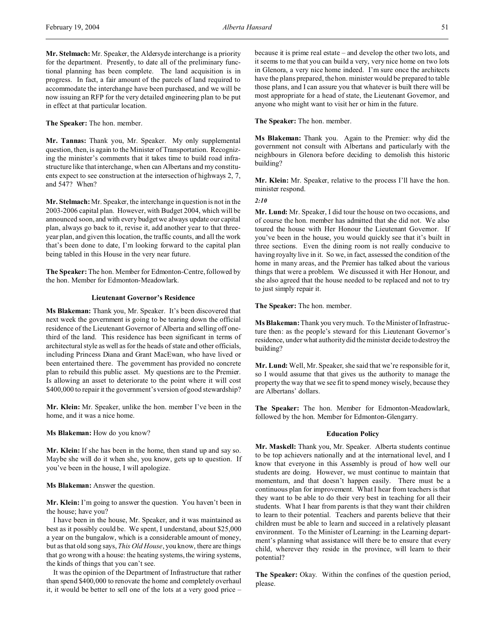**Mr. Stelmach:** Mr. Speaker, the Aldersyde interchange is a priority for the department. Presently, to date all of the preliminary functional planning has been complete. The land acquisition is in progress. In fact, a fair amount of the parcels of land required to accommodate the interchange have been purchased, and we will be now issuing an RFP for the very detailed engineering plan to be put in effect at that particular location.

**The Speaker:** The hon. member.

**Mr. Tannas:** Thank you, Mr. Speaker. My only supplemental question, then, is again to the Minister of Transportation. Recognizing the minister's comments that it takes time to build road infrastructure like that interchange, when can Albertans and my constituents expect to see construction at the intersection of highways 2, 7, and 547? When?

**Mr. Stelmach:** Mr. Speaker, the interchange in question is not in the 2003-2006 capital plan. However, with Budget 2004, which will be announced soon, and with every budget we always update our capital plan, always go back to it, revise it, add another year to that threeyear plan, and given this location, the traffic counts, and all the work that's been done to date, I'm looking forward to the capital plan being tabled in this House in the very near future.

**The Speaker:** The hon. Member for Edmonton-Centre, followed by the hon. Member for Edmonton-Meadowlark.

# **Lieutenant Governor's Residence**

**Ms Blakeman:** Thank you, Mr. Speaker. It's been discovered that next week the government is going to be tearing down the official residence of the Lieutenant Governor of Alberta and selling off onethird of the land. This residence has been significant in terms of architectural style as well as for the heads of state and other officials, including Princess Diana and Grant MacEwan, who have lived or been entertained there. The government has provided no concrete plan to rebuild this public asset. My questions are to the Premier. Is allowing an asset to deteriorate to the point where it will cost \$400,000 to repair it the government's version of good stewardship?

**Mr. Klein:** Mr. Speaker, unlike the hon. member I've been in the home, and it was a nice home.

**Ms Blakeman:** How do you know?

**Mr. Klein:** If she has been in the home, then stand up and say so. Maybe she will do it when she, you know, gets up to question. If you've been in the house, I will apologize.

#### **Ms Blakeman:** Answer the question.

**Mr. Klein:** I'm going to answer the question. You haven't been in the house; have you?

I have been in the house, Mr. Speaker, and it was maintained as best as it possibly could be. We spent, I understand, about \$25,000 a year on the bungalow, which is a considerable amount of money, but as that old song says, *This Old House*, you know, there are things that go wrong with a house: the heating systems, the wiring systems, the kinds of things that you can't see.

It was the opinion of the Department of Infrastructure that rather than spend \$400,000 to renovate the home and completely overhaul it, it would be better to sell one of the lots at a very good price –

because it is prime real estate – and develop the other two lots, and it seems to me that you can build a very, very nice home on two lots in Glenora, a very nice home indeed. I'm sure once the architects have the plans prepared, the hon. minister would be prepared to table those plans, and I can assure you that whatever is built there will be most appropriate for a head of state, the Lieutenant Governor, and anyone who might want to visit her or him in the future.

**The Speaker:** The hon. member.

**Ms Blakeman:** Thank you. Again to the Premier: why did the government not consult with Albertans and particularly with the neighbours in Glenora before deciding to demolish this historic building?

**Mr. Klein:** Mr. Speaker, relative to the process I'll have the hon. minister respond.

*2:10*

**Mr. Lund:** Mr. Speaker, I did tour the house on two occasions, and of course the hon. member has admitted that she did not. We also toured the house with Her Honour the Lieutenant Governor. If you've been in the house, you would quickly see that it's built in three sections. Even the dining room is not really conducive to having royalty live in it. So we, in fact, assessed the condition of the home in many areas, and the Premier has talked about the various things that were a problem. We discussed it with Her Honour, and she also agreed that the house needed to be replaced and not to try to just simply repair it.

**The Speaker:** The hon. member.

**Ms Blakeman:** Thank you very much. To the Minister of Infrastructure then: as the people's steward for this Lieutenant Governor's residence, under what authority did the minister decide to destroy the building?

**Mr. Lund:** Well, Mr. Speaker, she said that we're responsible for it, so I would assume that that gives us the authority to manage the property the way that we see fit to spend money wisely, because they are Albertans' dollars.

**The Speaker:** The hon. Member for Edmonton-Meadowlark, followed by the hon. Member for Edmonton-Glengarry.

### **Education Policy**

**Mr. Maskell:** Thank you, Mr. Speaker. Alberta students continue to be top achievers nationally and at the international level, and I know that everyone in this Assembly is proud of how well our students are doing. However, we must continue to maintain that momentum, and that doesn't happen easily. There must be a continuous plan for improvement. What I hear from teachers is that they want to be able to do their very best in teaching for all their students. What I hear from parents is that they want their children to learn to their potential. Teachers and parents believe that their children must be able to learn and succeed in a relatively pleasant environment. To the Minister of Learning: in the Learning department's planning what assistance will there be to ensure that every child, wherever they reside in the province, will learn to their potential?

**The Speaker:** Okay. Within the confines of the question period, please.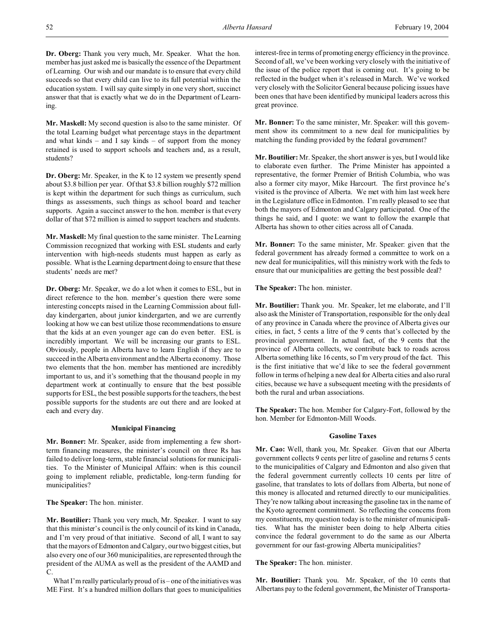**Dr. Oberg:** Thank you very much, Mr. Speaker. What the hon. member has just asked me is basically the essence of the Department of Learning. Our wish and our mandate is to ensure that every child succeeds so that every child can live to its full potential within the education system. I will say quite simply in one very short, succinct answer that that is exactly what we do in the Department of Learning.

**Mr. Maskell:** My second question is also to the same minister. Of the total Learning budget what percentage stays in the department and what kinds – and I say kinds – of support from the money retained is used to support schools and teachers and, as a result, students?

**Dr. Oberg:** Mr. Speaker, in the K to 12 system we presently spend about \$3.8 billion per year. Of that \$3.8 billion roughly \$72 million is kept within the department for such things as curriculum, such things as assessments, such things as school board and teacher supports. Again a succinct answer to the hon. member is that every dollar of that \$72 million is aimed to support teachers and students.

**Mr. Maskell:** My final question to the same minister. The Learning Commission recognized that working with ESL students and early intervention with high-needs students must happen as early as possible. What is the Learning department doing to ensure that these students' needs are met?

**Dr. Oberg:** Mr. Speaker, we do a lot when it comes to ESL, but in direct reference to the hon. member's question there were some interesting concepts raised in the Learning Commission about fullday kindergarten, about junior kindergarten, and we are currently looking at how we can best utilize those recommendations to ensure that the kids at an even younger age can do even better. ESL is incredibly important. We will be increasing our grants to ESL. Obviously, people in Alberta have to learn English if they are to succeed in the Alberta environment and the Alberta economy. Those two elements that the hon. member has mentioned are incredibly important to us, and it's something that the thousand people in my department work at continually to ensure that the best possible supports for ESL, the best possible supports for the teachers, the best possible supports for the students are out there and are looked at each and every day.

# **Municipal Financing**

**Mr. Bonner:** Mr. Speaker, aside from implementing a few shortterm financing measures, the minister's council on three Rs has failed to deliver long-term, stable financial solutions for municipalities. To the Minister of Municipal Affairs: when is this council going to implement reliable, predictable, long-term funding for municipalities?

**The Speaker:** The hon. minister.

**Mr. Boutilier:** Thank you very much, Mr. Speaker. I want to say that this minister's council is the only council of its kind in Canada, and I'm very proud of that initiative. Second of all, I want to say that the mayors of Edmonton and Calgary, our two biggest cities, but also every one of our 360 municipalities, are represented through the president of the AUMA as well as the president of the AAMD and  $\mathcal{C}$ 

What I'm really particularly proud of is – one of the initiatives was ME First. It's a hundred million dollars that goes to municipalities

interest-free in terms of promoting energy efficiency in the province. Second of all, we've been working very closely with the initiative of the issue of the police report that is coming out. It's going to be reflected in the budget when it's released in March. We've worked very closely with the Solicitor General because policing issues have been ones that have been identified by municipal leaders across this great province.

**Mr. Bonner:** To the same minister, Mr. Speaker: will this government show its commitment to a new deal for municipalities by matching the funding provided by the federal government?

**Mr. Boutilier:** Mr. Speaker, the short answer is yes, but I would like to elaborate even further. The Prime Minister has appointed a representative, the former Premier of British Columbia, who was also a former city mayor, Mike Harcourt. The first province he's visited is the province of Alberta. We met with him last week here in the Legislature office in Edmonton. I'm really pleased to see that both the mayors of Edmonton and Calgary participated. One of the things he said, and I quote: we want to follow the example that Alberta has shown to other cities across all of Canada.

**Mr. Bonner:** To the same minister, Mr. Speaker: given that the federal government has already formed a committee to work on a new deal for municipalities, will this ministry work with the feds to ensure that our municipalities are getting the best possible deal?

**The Speaker:** The hon. minister.

**Mr. Boutilier:** Thank you. Mr. Speaker, let me elaborate, and I'll also ask the Minister of Transportation, responsible for the only deal of any province in Canada where the province of Alberta gives our cities, in fact, 5 cents a litre of the 9 cents that's collected by the provincial government. In actual fact, of the 9 cents that the province of Alberta collects, we contribute back to roads across Alberta something like 16 cents, so I'm very proud of the fact. This is the first initiative that we'd like to see the federal government follow in terms of helping a new deal for Alberta cities and also rural cities, because we have a subsequent meeting with the presidents of both the rural and urban associations.

**The Speaker:** The hon. Member for Calgary-Fort, followed by the hon. Member for Edmonton-Mill Woods.

# **Gasoline Taxes**

**Mr. Cao:** Well, thank you, Mr. Speaker. Given that our Alberta government collects 9 cents per litre of gasoline and returns 5 cents to the municipalities of Calgary and Edmonton and also given that the federal government currently collects 10 cents per litre of gasoline, that translates to lots of dollars from Alberta, but none of this money is allocated and returned directly to our municipalities. They're now talking about increasing the gasoline tax in the name of the Kyoto agreement commitment. So reflecting the concerns from my constituents, my question today is to the minister of municipalities. What has the minister been doing to help Alberta cities convince the federal government to do the same as our Alberta government for our fast-growing Alberta municipalities?

**The Speaker:** The hon. minister.

**Mr. Boutilier:** Thank you. Mr. Speaker, of the 10 cents that Albertans pay to the federal government, the Minister of Transporta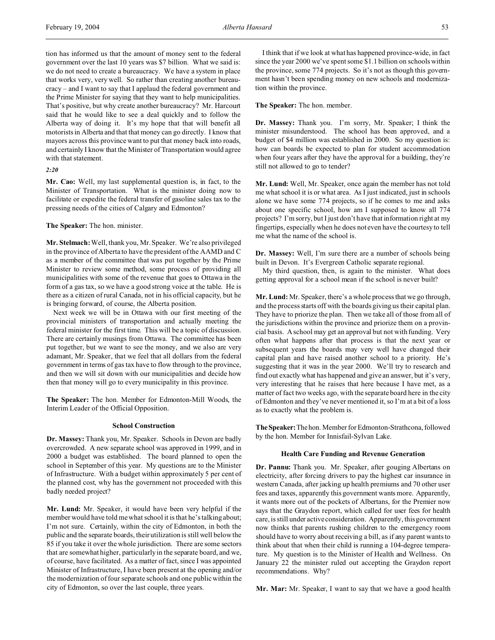tion has informed us that the amount of money sent to the federal government over the last 10 years was \$7 billion. What we said is: we do not need to create a bureaucracy. We have a system in place that works very, very well. So rather than creating another bureaucracy – and I want to say that I applaud the federal government and the Prime Minister for saying that they want to help municipalities. That's positive, but why create another bureaucracy? Mr. Harcourt said that he would like to see a deal quickly and to follow the Alberta way of doing it. It's my hope that that will benefit all motorists in Alberta and that that money can go directly. I know that mayors across this province want to put that money back into roads, and certainly I know that the Minister of Transportation would agree with that statement.

```
2:20
```
**Mr. Cao:** Well, my last supplemental question is, in fact, to the Minister of Transportation. What is the minister doing now to facilitate or expedite the federal transfer of gasoline sales tax to the pressing needs of the cities of Calgary and Edmonton?

**The Speaker:** The hon. minister.

**Mr. Stelmach:** Well, thank you, Mr. Speaker. We're also privileged in the province of Alberta to have the president of the AAMD and C as a member of the committee that was put together by the Prime Minister to review some method, some process of providing all municipalities with some of the revenue that goes to Ottawa in the form of a gas tax, so we have a good strong voice at the table. He is there as a citizen of rural Canada, not in his official capacity, but he is bringing forward, of course, the Alberta position.

Next week we will be in Ottawa with our first meeting of the provincial ministers of transportation and actually meeting the federal minister for the first time. This will be a topic of discussion. There are certainly musings from Ottawa. The committee has been put together, but we want to see the money, and we also are very adamant, Mr. Speaker, that we feel that all dollars from the federal government in terms of gas tax have to flow through to the province, and then we will sit down with our municipalities and decide how then that money will go to every municipality in this province.

**The Speaker:** The hon. Member for Edmonton-Mill Woods, the Interim Leader of the Official Opposition.

### **School Construction**

**Dr. Massey:** Thank you, Mr. Speaker. Schools in Devon are badly overcrowded. A new separate school was approved in 1999, and in 2000 a budget was established. The board planned to open the school in September of this year. My questions are to the Minister of Infrastructure. With a budget within approximately 5 per cent of the planned cost, why has the government not proceeded with this badly needed project?

**Mr. Lund:** Mr. Speaker, it would have been very helpful if the member would have told me what school it is that he's talking about; I'm not sure. Certainly, within the city of Edmonton, in both the public and the separate boards, their utilization is still well below the 85 if you take it over the whole jurisdiction. There are some sectors that are somewhat higher, particularly in the separate board, and we, of course, have facilitated. As a matter of fact, since I was appointed Minister of Infrastructure, I have been present at the opening and/or the modernization of four separate schools and one public within the city of Edmonton, so over the last couple, three years.

I think that if we look at what has happened province-wide, in fact since the year 2000 we've spent some \$1.1 billion on schools within the province, some 774 projects. So it's not as though this government hasn't been spending money on new schools and modernization within the province.

**The Speaker:** The hon. member.

**Dr. Massey:** Thank you. I'm sorry, Mr. Speaker; I think the minister misunderstood. The school has been approved, and a budget of \$4 million was established in 2000. So my question is: how can boards be expected to plan for student accommodation when four years after they have the approval for a building, they're still not allowed to go to tender?

**Mr. Lund:** Well, Mr. Speaker, once again the member has not told me what school it is or what area. As I just indicated, just in schools alone we have some 774 projects, so if he comes to me and asks about one specific school, how am I supposed to know all 774 projects? I'm sorry, but I just don't have that information right at my fingertips, especially when he does not even have the courtesy to tell me what the name of the school is.

**Dr. Massey:** Well, I'm sure there are a number of schools being built in Devon. It's Evergreen Catholic separate regional.

My third question, then, is again to the minister. What does getting approval for a school mean if the school is never built?

**Mr. Lund:** Mr. Speaker, there's a whole process that we go through, and the process starts off with the boards giving us their capital plan. They have to priorize the plan. Then we take all of those from all of the jurisdictions within the province and priorize them on a provincial basis. A school may get an approval but not with funding. Very often what happens after that process is that the next year or subsequent years the boards may very well have changed their capital plan and have raised another school to a priority. He's suggesting that it was in the year 2000. We'll try to research and find out exactly what has happened and give an answer, but it's very, very interesting that he raises that here because I have met, as a matter of fact two weeks ago, with the separate board here in the city of Edmonton and they've never mentioned it, so I'm at a bit of a loss as to exactly what the problem is.

**TheSpeaker:**The hon. Member for Edmonton-Strathcona, followed by the hon. Member for Innisfail-Sylvan Lake.

### **Health Care Funding and Revenue Generation**

**Dr. Pannu:** Thank you. Mr. Speaker, after gouging Albertans on electricity, after forcing drivers to pay the highest car insurance in western Canada, after jacking up health premiums and 70 other user fees and taxes, apparently this government wants more. Apparently, it wants more out of the pockets of Albertans, for the Premier now says that the Graydon report, which called for user fees for health care, is still under active consideration. Apparently, this government now thinks that parents rushing children to the emergency room should have to worry about receiving a bill, as if any parent wants to think about that when their child is running a 104-degree temperature. My question is to the Minister of Health and Wellness. On January 22 the minister ruled out accepting the Graydon report recommendations. Why?

**Mr. Mar:** Mr. Speaker, I want to say that we have a good health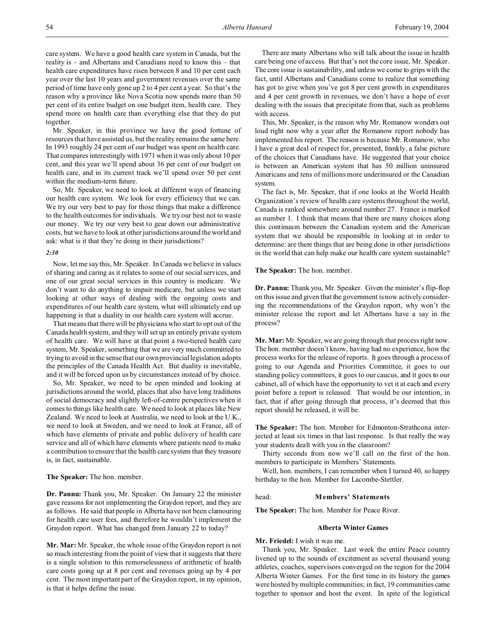care system. We have a good health care system in Canada, but the reality is – and Albertans and Canadians need to know this – that health care expenditures have risen between 8 and 10 per cent each year over the last 10 years and government revenues over the same period of time have only gone up 2 to 4 per cent a year. So that's the reason why a province like Nova Scotia now spends more than 50 per cent of its entire budget on one budget item, health care. They spend more on health care than everything else that they do put together.

Mr. Speaker, in this province we have the good fortune of resources that have assisted us, but the reality remains the same here. In 1993 roughly 24 per cent of our budget was spent on health care. That compares interestingly with 1971 when it was only about 10 per cent, and this year we'll spend about 36 per cent of our budget on health care, and in its current track we'll spend over 50 per cent within the medium-term future.

So, Mr. Speaker, we need to look at different ways of financing our health care system. We look for every efficiency that we can. We try our very best to pay for those things that make a difference to the health outcomes for individuals. We try our best not to waste our money. We try our very best to gear down our administrative costs, but we have to look at other jurisdictions around the world and ask: what is it that they're doing in their jurisdictions?

### *2:30*

Now, let me say this, Mr. Speaker. In Canada we believe in values of sharing and caring as it relates to some of our social services, and one of our great social services in this country is medicare. We don't want to do anything to impair medicare, but unless we start looking at other ways of dealing with the ongoing costs and expenditures of our health care system, what will ultimately end up happening is that a duality in our health care system will accrue.

That means that there will be physicians who start to opt out of the Canada health system, and they will set up an entirely private system of health care. We will have at that point a two-tiered health care system, Mr. Speaker, something that we are very much committed to trying to avoid in the sense that our own provincial legislation adopts the principles of the Canada Health Act. But duality is inevitable, and it will be forced upon us by circumstances instead of by choice.

So, Mr. Speaker, we need to be open minded and looking at jurisdictions around the world, places that also have long traditions of social democracy and slightly left-of-centre perspectives when it comes to things like health care. We need to look at places like New Zealand. We need to look at Australia, we need to look at the U.K., we need to look at Sweden, and we need to look at France, all of which have elements of private and public delivery of health care service and all of which have elements where patients need to make a contribution to ensure that the health care system that they treasure is, in fact, sustainable.

#### **The Speaker:** The hon. member.

**Dr. Pannu:** Thank you, Mr. Speaker. On January 22 the minister gave reasons for not implementing the Graydon report, and they are as follows. He said that people in Alberta have not been clamouring for health care user fees, and therefore he wouldn't implement the Graydon report. What has changed from January 22 to today?

**Mr. Mar:** Mr. Speaker, the whole issue of the Graydon report is not so much interesting from the point of view that it suggests that there is a single solution to this remorselessness of arithmetic of health care costs going up at 8 per cent and revenues going up by 4 per cent. The most important part of the Graydon report, in my opinion, is that it helps define the issue.

There are many Albertans who will talk about the issue in health care being one of access. But that's not the core issue, Mr. Speaker. The core issue is sustainability, and unless we come to grips with the fact, until Albertans and Canadians come to realize that something has got to give when you've got 8 per cent growth in expenditures and 4 per cent growth in revenues, we don't have a hope of ever dealing with the issues that precipitate from that, such as problems with access.

This, Mr. Speaker, is the reason why Mr. Romanow wonders out loud right now why a year after the Romanow report nobody has implemented his report. The reason is because Mr. Romanow, who I have a great deal of respect for, presented, frankly, a false picture of the choices that Canadians have. He suggested that your choice is between an American system that has 50 million uninsured Americans and tens of millions more underinsured or the Canadian system.

The fact is, Mr. Speaker, that if one looks at the World Health Organization's review of health care systems throughout the world, Canada is ranked somewhere around number 27. France is marked as number 1. I think that means that there are many choices along this continuum between the Canadian system and the American system that we should be responsible in looking at in order to determine: are there things that are being done in other jurisdictions in the world that can help make our health care system sustainable?

**The Speaker:** The hon. member.

**Dr. Pannu:** Thank you, Mr. Speaker. Given the minister's flip-flop on this issue and given that the government is now actively considering the recommendations of the Graydon report, why won't the minister release the report and let Albertans have a say in the process?

**Mr. Mar:** Mr. Speaker, we are going through that process right now. The hon. member doesn't know, having had no experience, how the process works for the release of reports. It goes through a process of going to our Agenda and Priorities Committee, it goes to our standing policy committees, it goes to our caucus, and it goes to our cabinet, all of which have the opportunity to vet it at each and every point before a report is released. That would be our intention, in fact, that if after going through that process, it's deemed that this report should be released, it will be.

**The Speaker:** The hon. Member for Edmonton-Strathcona interjected at least six times in that last response. Is that really the way your students dealt with you in the classroom?

Thirty seconds from now we'll call on the first of the hon. members to participate in Members' Statements.

Well, hon. members, I can remember when I turned 40, so happy birthday to the hon. Member for Lacombe-Stettler.

#### head: **Members' Statements**

**The Speaker:** The hon. Member for Peace River.

### **Alberta Winter Games**

**Mr. Friedel:** I wish it was me.

Thank you, Mr. Speaker. Last week the entire Peace country livened up to the sounds of excitement as several thousand young athletes, coaches, supervisors converged on the region for the 2004 Alberta Winter Games. For the first time in its history the games were hosted by multiple communities; in fact, 19 communities came together to sponsor and host the event. In spite of the logistical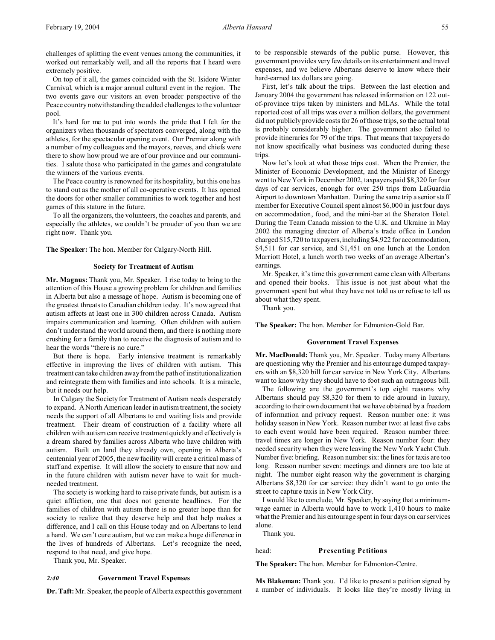challenges of splitting the event venues among the communities, it worked out remarkably well, and all the reports that I heard were extremely positive.

On top of it all, the games coincided with the St. Isidore Winter Carnival, which is a major annual cultural event in the region. The two events gave our visitors an even broader perspective of the Peace country notwithstanding the added challenges to the volunteer pool.

It's hard for me to put into words the pride that I felt for the organizers when thousands of spectators converged, along with the athletes, for the spectacular opening event. Our Premier along with a number of my colleagues and the mayors, reeves, and chiefs were there to show how proud we are of our province and our communities. I salute those who participated in the games and congratulate the winners of the various events.

The Peace country is renowned for its hospitality, but this one has to stand out as the mother of all co-operative events. It has opened the doors for other smaller communities to work together and host games of this stature in the future.

To all the organizers, the volunteers, the coaches and parents, and especially the athletes, we couldn't be prouder of you than we are right now. Thank you.

**The Speaker:** The hon. Member for Calgary-North Hill.

# **Society for Treatment of Autism**

**Mr. Magnus:** Thank you, Mr. Speaker. I rise today to bring to the attention of this House a growing problem for children and families in Alberta but also a message of hope. Autism is becoming one of the greatest threats to Canadian children today. It's now agreed that autism affects at least one in 300 children across Canada. Autism impairs communication and learning. Often children with autism don't understand the world around them, and there is nothing more crushing for a family than to receive the diagnosis of autism and to hear the words "there is no cure."

But there is hope. Early intensive treatment is remarkably effective in improving the lives of children with autism. This treatment can take children away from the path of institutionalization and reintegrate them with families and into schools. It is a miracle, but it needs our help.

In Calgary the Society for Treatment of Autism needs desperately to expand. A North American leader in autism treatment, the society needs the support of all Albertans to end waiting lists and provide treatment. Their dream of construction of a facility where all children with autism can receive treatment quickly and effectively is a dream shared by families across Alberta who have children with autism. Built on land they already own, opening in Alberta's centennial year of 2005, the new facility will create a critical mass of staff and expertise. It will allow the society to ensure that now and in the future children with autism never have to wait for muchneeded treatment.

The society is working hard to raise private funds, but autism is a quiet affliction, one that does not generate headlines. For the families of children with autism there is no greater hope than for society to realize that they deserve help and that help makes a difference, and I call on this House today and on Albertans to lend a hand. We can't cure autism, but we can make a huge difference in the lives of hundreds of Albertans. Let's recognize the need, respond to that need, and give hope.

Thank you, Mr. Speaker.

# *2:40* **Government Travel Expenses**

**Dr. Taft:** Mr. Speaker, the people of Alberta expect this government

to be responsible stewards of the public purse. However, this government provides very few details on its entertainment and travel expenses, and we believe Albertans deserve to know where their hard-earned tax dollars are going.

First, let's talk about the trips. Between the last election and January 2004 the government has released information on 122 outof-province trips taken by ministers and MLAs. While the total reported cost of all trips was over a million dollars, the government did not publicly provide costs for 26 of those trips, so the actual total is probably considerably higher. The government also failed to provide itineraries for 79 of the trips. That means that taxpayers do not know specifically what business was conducted during these trips.

Now let's look at what those trips cost. When the Premier, the Minister of Economic Development, and the Minister of Energy went to New York in December 2002, taxpayers paid \$8,320 for four days of car services, enough for over 250 trips from LaGuardia Airport to downtown Manhattan. During the same trip a senior staff member for Executive Council spent almost \$6,000 in just four days on accommodation, food, and the mini-bar at the Sheraton Hotel. During the Team Canada mission to the U.K. and Ukraine in May 2002 the managing director of Alberta's trade office in London charged \$15,720 to taxpayers, including \$4,922 for accommodation, \$4,511 for car service, and \$1,451 on one lunch at the London Marriott Hotel, a lunch worth two weeks of an average Albertan's earnings.

Mr. Speaker, it's time this government came clean with Albertans and opened their books. This issue is not just about what the government spent but what they have not told us or refuse to tell us about what they spent.

Thank you.

**The Speaker:** The hon. Member for Edmonton-Gold Bar.

#### **Government Travel Expenses**

**Mr. MacDonald:** Thank you, Mr. Speaker. Today many Albertans are questioning why the Premier and his entourage dumped taxpayers with an \$8,320 bill for car service in New York City. Albertans want to know why they should have to foot such an outrageous bill.

The following are the government's top eight reasons why Albertans should pay \$8,320 for them to ride around in luxury, according to their own document that we have obtained by a freedom of information and privacy request. Reason number one: it was holiday season in New York. Reason number two: at least five cabs to each event would have been required. Reason number three: travel times are longer in New York. Reason number four: they needed security when they were leaving the New York Yacht Club. Number five: briefing. Reason number six: the lines for taxis are too long. Reason number seven: meetings and dinners are too late at night. The number eight reason why the government is charging Albertans \$8,320 for car service: they didn't want to go onto the street to capture taxis in New York City.

I would like to conclude, Mr. Speaker, by saying that a minimumwage earner in Alberta would have to work 1,410 hours to make what the Premier and his entourage spent in four days on car services alone.

Thank you.

### head: **Presenting Petitions**

**The Speaker:** The hon. Member for Edmonton-Centre.

**Ms Blakeman:** Thank you. I'd like to present a petition signed by a number of individuals. It looks like they're mostly living in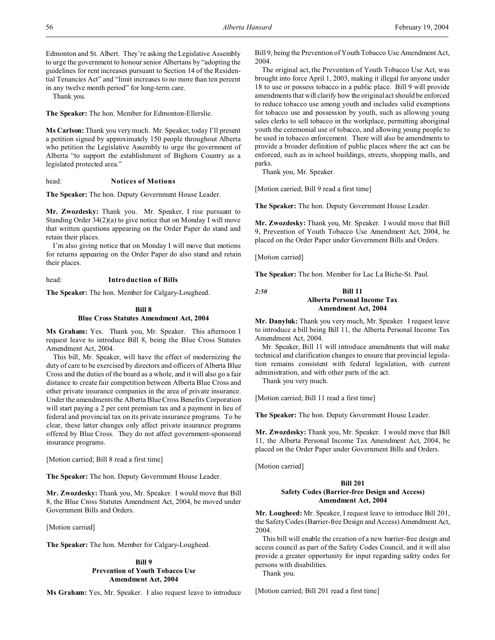Edmonton and St. Albert. They're asking the Legislative Assembly to urge the government to honour senior Albertans by "adopting the guidelines for rent increases pursuant to Section 14 of the Residential Tenancies Act" and "limit increases to no more than ten percent in any twelve month period" for long-term care.

Thank you.

**The Speaker:** The hon. Member for Edmonton-Ellerslie.

**Ms Carlson:** Thank you very much. Mr. Speaker, today I'll present a petition signed by approximately 150 people throughout Alberta who petition the Legislative Assembly to urge the government of Alberta "to support the establishment of Bighorn Country as a legislated protected area."

### head: **Notices of Motions**

**The Speaker:** The hon. Deputy Government House Leader.

**Mr. Zwozdesky:** Thank you. Mr. Speaker, I rise pursuant to Standing Order 34(2)(a) to give notice that on Monday I will move that written questions appearing on the Order Paper do stand and retain their places.

I'm also giving notice that on Monday I will move that motions for returns appearing on the Order Paper do also stand and retain their places.

# head: **Introduction of Bills**

**The Speaker:** The hon. Member for Calgary-Lougheed.

### **Bill 8 Blue Cross Statutes Amendment Act, 2004**

**Ms Graham:** Yes. Thank you, Mr. Speaker. This afternoon I request leave to introduce Bill 8, being the Blue Cross Statutes

Amendment Act, 2004. This bill, Mr. Speaker, will have the effect of modernizing the duty of care to be exercised by directors and officers of Alberta Blue Cross and the duties of the board as a whole, and it will also go a fair distance to create fair competition between Alberta Blue Cross and other private insurance companies in the area of private insurance. Under the amendments the Alberta Blue Cross Benefits Corporation will start paying a 2 per cent premium tax and a payment in lieu of federal and provincial tax on its private insurance programs. To be clear, these latter changes only affect private insurance programs offered by Blue Cross. They do not affect government-sponsored insurance programs.

[Motion carried; Bill 8 read a first time]

**The Speaker:** The hon. Deputy Government House Leader.

**Mr. Zwozdesky:** Thank you, Mr. Speaker. I would move that Bill 8, the Blue Cross Statutes Amendment Act, 2004, be moved under Government Bills and Orders.

[Motion carried]

**The Speaker:** The hon. Member for Calgary-Lougheed.

# **Bill 9 Prevention of Youth Tobacco Use Amendment Act, 2004**

**Ms Graham:** Yes, Mr. Speaker. I also request leave to introduce

Bill 9, being the Prevention of Youth Tobacco Use Amendment Act, 2004.

The original act, the Prevention of Youth Tobacco Use Act, was brought into force April 1, 2003, making it illegal for anyone under 18 to use or possess tobacco in a public place. Bill 9 will provide amendments that will clarify how the original act should be enforced to reduce tobacco use among youth and includes valid exemptions for tobacco use and possession by youth, such as allowing young sales clerks to sell tobacco in the workplace, permitting aboriginal youth the ceremonial use of tobacco, and allowing young people to be used in tobacco enforcement. There will also be amendments to provide a broader definition of public places where the act can be enforced, such as in school buildings, streets, shopping malls, and parks.

Thank you, Mr. Speaker.

[Motion carried; Bill 9 read a first time]

**The Speaker:** The hon. Deputy Government House Leader.

**Mr. Zwozdesky:** Thank you, Mr. Speaker. I would move that Bill 9, Prevention of Youth Tobacco Use Amendment Act, 2004, be placed on the Order Paper under Government Bills and Orders.

[Motion carried]

**The Speaker:** The hon. Member for Lac La Biche-St. Paul.

# *2:50* **Bill 11 Alberta Personal Income Tax Amendment Act, 2004**

**Mr. Danyluk:** Thank you very much, Mr. Speaker. I request leave to introduce a bill being Bill 11, the Alberta Personal Income Tax Amendment Act, 2004.

Mr. Speaker, Bill 11 will introduce amendments that will make technical and clarification changes to ensure that provincial legislation remains consistent with federal legislation, with current administration, and with other parts of the act.

Thank you very much.

[Motion carried; Bill 11 read a first time]

**The Speaker:** The hon. Deputy Government House Leader.

**Mr. Zwozdesky:** Thank you, Mr. Speaker. I would move that Bill 11, the Alberta Personal Income Tax Amendment Act, 2004, be placed on the Order Paper under Government Bills and Orders.

[Motion carried]

# **Bill 201**

# **Safety Codes (Barrier-free Design and Access) Amendment Act, 2004**

**Mr. Lougheed:** Mr. Speaker, I request leave to introduce Bill 201, the Safety Codes (Barrier-free Design and Access) Amendment Act, 2004.

This bill will enable the creation of a new barrier-free design and access council as part of the Safety Codes Council, and it will also provide a greater opportunity for input regarding safety codes for persons with disabilities.

Thank you.

[Motion carried; Bill 201 read a first time]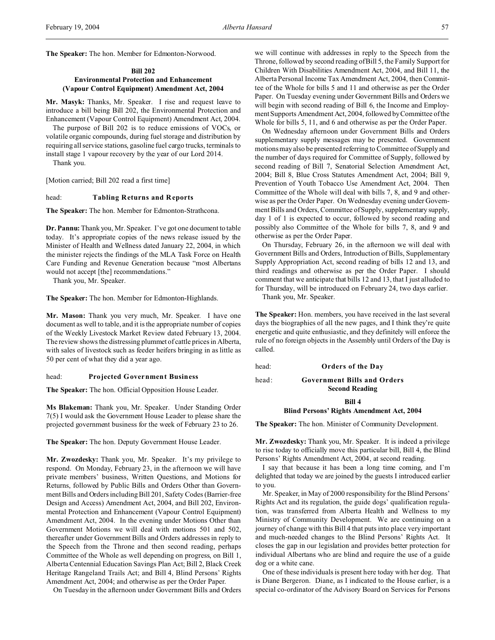**The Speaker:** The hon. Member for Edmonton-Norwood.

### **Bill 202**

# **Environmental Protection and Enhancement (Vapour Control Equipment) Amendment Act, 2004**

**Mr. Masyk:** Thanks, Mr. Speaker. I rise and request leave to introduce a bill being Bill 202, the Environmental Protection and Enhancement (Vapour Control Equipment) Amendment Act, 2004.

The purpose of Bill 202 is to reduce emissions of VOCs, or volatile organic compounds, during fuel storage and distribution by requiring all service stations, gasoline fuel cargo trucks, terminals to install stage 1 vapour recovery by the year of our Lord 2014.

Thank you.

[Motion carried; Bill 202 read a first time]

### head: **Tabling Returns and Reports**

**The Speaker:** The hon. Member for Edmonton-Strathcona.

**Dr. Pannu:** Thank you, Mr. Speaker. I've got one document to table today. It's appropriate copies of the news release issued by the Minister of Health and Wellness dated January 22, 2004, in which the minister rejects the findings of the MLA Task Force on Health Care Funding and Revenue Generation because "most Albertans would not accept [the] recommendations."

Thank you, Mr. Speaker.

**The Speaker:** The hon. Member for Edmonton-Highlands.

**Mr. Mason:** Thank you very much, Mr. Speaker. I have one document as well to table, and it is the appropriate number of copies of the Weekly Livestock Market Review dated February 13, 2004. The review shows the distressing plummet of cattle prices in Alberta, with sales of livestock such as feeder heifers bringing in as little as 50 per cent of what they did a year ago.

#### head: **Projected Government Business**

**The Speaker:** The hon. Official Opposition House Leader.

**Ms Blakeman:** Thank you, Mr. Speaker. Under Standing Order 7(5) I would ask the Government House Leader to please share the projected government business for the week of February 23 to 26.

**The Speaker:** The hon. Deputy Government House Leader.

**Mr. Zwozdesky:** Thank you, Mr. Speaker. It's my privilege to respond. On Monday, February 23, in the afternoon we will have private members' business, Written Questions, and Motions for Returns, followed by Public Bills and Orders Other than Government Bills and Orders including Bill 201, Safety Codes (Barrier-free Design and Access) Amendment Act, 2004, and Bill 202, Environmental Protection and Enhancement (Vapour Control Equipment) Amendment Act, 2004. In the evening under Motions Other than Government Motions we will deal with motions 501 and 502, thereafter under Government Bills and Orders addresses in reply to the Speech from the Throne and then second reading, perhaps Committee of the Whole as well depending on progress, on Bill 1, Alberta Centennial Education Savings Plan Act; Bill 2, Black Creek Heritage Rangeland Trails Act; and Bill 4, Blind Persons' Rights Amendment Act, 2004; and otherwise as per the Order Paper.

On Tuesday in the afternoon under Government Bills and Orders

we will continue with addresses in reply to the Speech from the Throne, followed by second reading of Bill 5, the Family Support for Children With Disabilities Amendment Act, 2004, and Bill 11, the Alberta Personal Income Tax Amendment Act, 2004, then Committee of the Whole for bills 5 and 11 and otherwise as per the Order Paper. On Tuesday evening under Government Bills and Orders we will begin with second reading of Bill 6, the Income and Employment Supports Amendment Act, 2004, followed by Committee of the Whole for bills 5, 11, and 6 and otherwise as per the Order Paper.

On Wednesday afternoon under Government Bills and Orders supplementary supply messages may be presented. Government motions may also be presented referring to Committee of Supply and the number of days required for Committee of Supply, followed by second reading of Bill 7, Senatorial Selection Amendment Act, 2004; Bill 8, Blue Cross Statutes Amendment Act, 2004; Bill 9, Prevention of Youth Tobacco Use Amendment Act, 2004. Then Committee of the Whole will deal with bills 7, 8, and 9 and otherwise as per the Order Paper. On Wednesday evening under Government Bills and Orders, Committee of Supply, supplementary supply, day 1 of 1 is expected to occur, followed by second reading and possibly also Committee of the Whole for bills 7, 8, and 9 and otherwise as per the Order Paper.

On Thursday, February 26, in the afternoon we will deal with Government Bills and Orders, Introduction of Bills, Supplementary Supply Appropriation Act, second reading of bills 12 and 13, and third readings and otherwise as per the Order Paper. I should comment that we anticipate that bills 12 and 13, that I just alluded to for Thursday, will be introduced on February 24, two days earlier.

Thank you, Mr. Speaker.

**The Speaker:** Hon. members, you have received in the last several days the biographies of all the new pages, and I think they're quite energetic and quite enthusiastic, and they definitely will enforce the rule of no foreign objects in the Assembly until Orders of the Day is called.

head: **Orders of the Day**

head: **Government Bills and Orders**

**Second Reading**

**Bill 4**

#### **Blind Persons' Rights Amendment Act, 2004**

**The Speaker:** The hon. Minister of Community Development.

**Mr. Zwozdesky:** Thank you, Mr. Speaker. It is indeed a privilege to rise today to officially move this particular bill, Bill 4, the Blind Persons' Rights Amendment Act, 2004, at second reading.

I say that because it has been a long time coming, and I'm delighted that today we are joined by the guests I introduced earlier to you.

Mr. Speaker, in May of 2000 responsibility for the Blind Persons' Rights Act and its regulation, the guide dogs' qualification regulation, was transferred from Alberta Health and Wellness to my Ministry of Community Development. We are continuing on a journey of change with this Bill 4 that puts into place very important and much-needed changes to the Blind Persons' Rights Act. It closes the gap in our legislation and provides better protection for individual Albertans who are blind and require the use of a guide dog or a white cane.

One of these individuals is present here today with her dog. That is Diane Bergeron. Diane, as I indicated to the House earlier, is a special co-ordinator of the Advisory Board on Services for Persons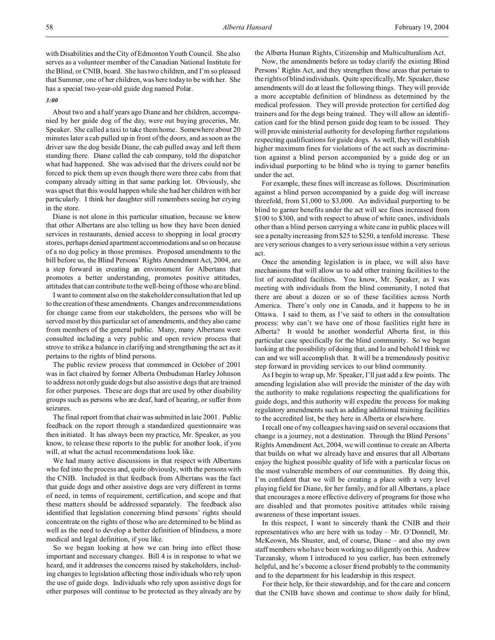with Disabilities and the City of Edmonton Youth Council. She also serves as a volunteer member of the Canadian National Institute for the Blind, or CNIB, board. She has two children, and I'm so pleased that Summer, one of her children, was here today to be with her. She has a special two-year-old guide dog named Polar.

#### *3:00*

About two and a half years ago Diane and her children, accompanied by her guide dog of the day, were out buying groceries, Mr. Speaker. She called a taxi to take them home. Somewhere about 20 minutes later a cab pulled up in front of the doors, and as soon as the driver saw the dog beside Diane, the cab pulled away and left them standing there. Diane called the cab company, told the dispatcher what had happened. She was advised that the drivers could not be forced to pick them up even though there were three cabs from that company already sitting in that same parking lot. Obviously, she was upset that this would happen while she had her children with her particularly. I think her daughter still remembers seeing her crying in the store.

Diane is not alone in this particular situation, because we know that other Albertans are also telling us how they have been denied services in restaurants, denied access to shopping in local grocery stores, perhaps denied apartment accommodations and so on because of a no dog policy in those premises. Proposed amendments to the bill before us, the Blind Persons' Rights Amendment Act, 2004, are a step forward in creating an environment for Albertans that promotes a better understanding, promotes positive attitudes, attitudes that can contribute to the well-being of those who are blind.

I want to comment also on the stakeholder consultation that led up to the creation of these amendments. Changes and recommendations for change came from our stakeholders, the persons who will be served most by this particular set of amendments, and they also came from members of the general public. Many, many Albertans were consulted including a very public and open review process that strove to strike a balance in clarifying and strengthening the act as it pertains to the rights of blind persons.

The public review process that commenced in October of 2001 was in fact chaired by former Alberta Ombudsman Harley Johnson to address not only guide dogs but also assistive dogs that are trained for other purposes. These are dogs that are used by other disability groups such as persons who are deaf, hard of hearing, or suffer from seizures.

The final report from that chair was submitted in late 2001. Public feedback on the report through a standardized questionnaire was then initiated. It has always been my practice, Mr. Speaker, as you know, to release these reports to the public for another look, if you will, at what the actual recommendations look like.

We had many active discussions in that respect with Albertans who fed into the process and, quite obviously, with the persons with the CNIB. Included in that feedback from Albertans was the fact that guide dogs and other assistive dogs are very different in terms of need, in terms of requirement, certification, and scope and that these matters should be addressed separately. The feedback also identified that legislation concerning blind persons' rights should concentrate on the rights of those who are determined to be blind as well as the need to develop a better definition of blindness, a more medical and legal definition, if you like.

So we began looking at how we can bring into effect those important and necessary changes. Bill 4 is in response to what we heard, and it addresses the concerns raised by stakeholders, including changes to legislation affecting those individuals who rely upon the use of guide dogs. Individuals who rely upon assistive dogs for other purposes will continue to be protected as they already are by the Alberta Human Rights, Citizenship and Multiculturalism Act.

Now, the amendments before us today clarify the existing Blind Persons' Rights Act, and they strengthen those areas that pertain to the rights of blind individuals. Quite specifically, Mr. Speaker, these amendments will do at least the following things. They will provide a more acceptable definition of blindness as determined by the medical profession. They will provide protection for certified dog trainers and for the dogs being trained. They will allow an identification card for the blind person guide dog team to be issued. They will provide ministerial authority for developing further regulations respecting qualifications for guide dogs. As well, they will establish higher maximum fines for violations of the act such as discrimination against a blind person accompanied by a guide dog or an individual purporting to be blind who is trying to garner benefits under the act.

For example, these fines will increase as follows. Discrimination against a blind person accompanied by a guide dog will increase threefold, from \$1,000 to \$3,000. An individual purporting to be blind to garner benefits under the act will see fines increased from \$100 to \$300, and with respect to abuse of white canes, individuals other than a blind person carrying a white cane in public places will see a penalty increasing from \$25 to \$250, a tenfold increase. These are very serious changes to a very serious issue within a very serious act.

Once the amending legislation is in place, we will also have mechanisms that will allow us to add other training facilities to the list of accredited facilities. You know, Mr. Speaker, as I was meeting with individuals from the blind community, I noted that there are about a dozen or so of these facilities across North America. There's only one in Canada, and it happens to be in Ottawa. I said to them, as I've said to others in the consultation process: why can't we have one of those facilities right here in Alberta? It would be another wonderful Alberta first, in this particular case specifically for the blind community. So we began looking at the possibility of doing that, and lo and behold I think we can and we will accomplish that. It will be a tremendously positive step forward in providing services to our blind community.

As I begin to wrap up, Mr. Speaker, I'll just add a few points. The amending legislation also will provide the minister of the day with the authority to make regulations respecting the qualifications for guide dogs, and this authority will expedite the process for making regulatory amendments such as adding additional training facilities to the accredited list, be they here in Alberta or elsewhere.

I recall one of my colleagues having said on several occasions that change is a journey, not a destination. Through the Blind Persons' Rights Amendment Act, 2004, we will continue to create an Alberta that builds on what we already have and ensures that all Albertans enjoy the highest possible quality of life with a particular focus on the most vulnerable members of our communities. By doing this, I'm confident that we will be creating a place with a very level playing field for Diane, for her family, and for all Albertans, a place that encourages a more effective delivery of programs for those who are disabled and that promotes positive attitudes while raising awareness of these important issues.

In this respect, I want to sincerely thank the CNIB and their representatives who are here with us today – Mr. O'Donnell, Mr. McKeown, Ms Shuster, and, of course, Diane – and also my own staff members who have been working so diligently on this. Andrew Turzansky, whom I introduced to you earlier, has been extremely helpful, and he's become a closer friend probably to the community and to the department for his leadership in this respect.

For their help, for their stewardship, and for the care and concern that the CNIB have shown and continue to show daily for blind,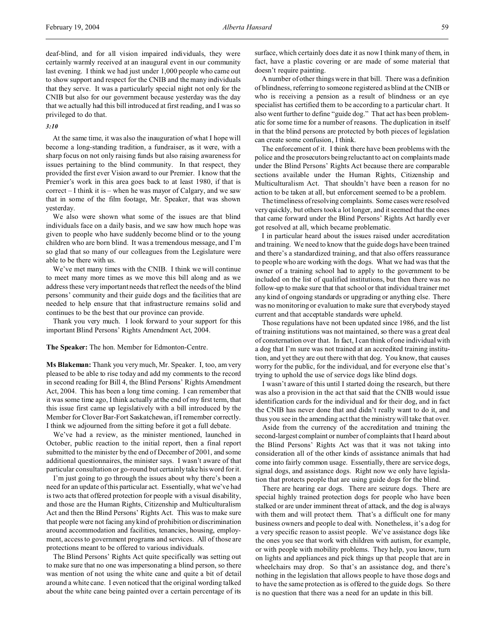deaf-blind, and for all vision impaired individuals, they were certainly warmly received at an inaugural event in our community last evening. I think we had just under 1,000 people who came out to show support and respect for the CNIB and the many individuals that they serve. It was a particularly special night not only for the CNIB but also for our government because yesterday was the day that we actually had this bill introduced at first reading, and I was so privileged to do that.

#### *3:10*

At the same time, it was also the inauguration of what I hope will become a long-standing tradition, a fundraiser, as it were, with a sharp focus on not only raising funds but also raising awareness for issues pertaining to the blind community. In that respect, they provided the first ever Vision award to our Premier. I know that the Premier's work in this area goes back to at least 1980, if that is correct – I think it is – when he was mayor of Calgary, and we saw that in some of the film footage, Mr. Speaker, that was shown yesterday.

We also were shown what some of the issues are that blind individuals face on a daily basis, and we saw how much hope was given to people who have suddenly become blind or to the young children who are born blind. It was a tremendous message, and I'm so glad that so many of our colleagues from the Legislature were able to be there with us.

We've met many times with the CNIB. I think we will continue to meet many more times as we move this bill along and as we address these very important needs that reflect the needs of the blind persons' community and their guide dogs and the facilities that are needed to help ensure that that infrastructure remains solid and continues to be the best that our province can provide.

Thank you very much. I look forward to your support for this important Blind Persons' Rights Amendment Act, 2004.

### **The Speaker:** The hon. Member for Edmonton-Centre.

**Ms Blakeman:** Thank you very much, Mr. Speaker. I, too, am very pleased to be able to rise today and add my comments to the record in second reading for Bill 4, the Blind Persons' Rights Amendment Act, 2004. This has been a long time coming. I can remember that it was some time ago, I think actually at the end of my first term, that this issue first came up legislatively with a bill introduced by the Member for Clover Bar-Fort Saskatchewan, if I remember correctly. I think we adjourned from the sitting before it got a full debate.

We've had a review, as the minister mentioned, launched in October, public reaction to the initial report, then a final report submitted to the minister by the end of December of 2001, and some additional questionnaires, the minister says. I wasn't aware of that particular consultation or go-round but certainly take his word for it.

I'm just going to go through the issues about why there's been a need for an update of this particular act. Essentially, what we've had is two acts that offered protection for people with a visual disability, and those are the Human Rights, Citizenship and Multiculturalism Act and then the Blind Persons' Rights Act. This was to make sure that people were not facing any kind of prohibition or discrimination around accommodation and facilities, tenancies, housing, employment, access to government programs and services. All of those are protections meant to be offered to various individuals.

The Blind Persons' Rights Act quite specifically was setting out to make sure that no one was impersonating a blind person, so there was mention of not using the white cane and quite a bit of detail around a white cane. I even noticed that the original wording talked about the white cane being painted over a certain percentage of its

surface, which certainly does date it as now I think many of them, in fact, have a plastic covering or are made of some material that doesn't require painting.

A number of other things were in that bill. There was a definition of blindness, referring to someone registered as blind at the CNIB or who is receiving a pension as a result of blindness or an eye specialist has certified them to be according to a particular chart. It also went further to define "guide dog." That act has been problematic for some time for a number of reasons. The duplication in itself in that the blind persons are protected by both pieces of legislation can create some confusion, I think.

The enforcement of it. I think there have been problems with the police and the prosecutors being reluctant to act on complaints made under the Blind Persons' Rights Act because there are comparable sections available under the Human Rights, Citizenship and Multiculturalism Act. That shouldn't have been a reason for no action to be taken at all, but enforcement seemed to be a problem.

The timeliness of resolving complaints. Some cases were resolved very quickly, but others took a lot longer, and it seemed that the ones that came forward under the Blind Persons' Rights Act hardly ever got resolved at all, which became problematic.

I in particular heard about the issues raised under accreditation and training. We need to know that the guide dogs have been trained and there's a standardized training, and that also offers reassurance to people who are working with the dogs. What we had was that the owner of a training school had to apply to the government to be included on the list of qualified institutions, but then there was no follow-up to make sure that that school or that individual trainer met any kind of ongoing standards or upgrading or anything else. There was no monitoring or evaluation to make sure that everybody stayed current and that acceptable standards were upheld.

Those regulations have not been updated since 1986, and the list of training institutions was not maintained, so there was a great deal of consternation over that. In fact, I can think of one individual with a dog that I'm sure was not trained at an accredited training institution, and yet they are out there with that dog. You know, that causes worry for the public, for the individual, and for everyone else that's trying to uphold the use of service dogs like blind dogs.

I wasn't aware of this until I started doing the research, but there was also a provision in the act that said that the CNIB would issue identification cards for the individual and for their dog, and in fact the CNIB has never done that and didn't really want to do it, and thus you see in the amending act that the ministry will take that over.

Aside from the currency of the accreditation and training the second-largest complaint or number of complaints that I heard about the Blind Persons' Rights Act was that it was not taking into consideration all of the other kinds of assistance animals that had come into fairly common usage. Essentially, there are service dogs, signal dogs, and assistance dogs. Right now we only have legislation that protects people that are using guide dogs for the blind.

There are hearing ear dogs. There are seizure dogs. There are special highly trained protection dogs for people who have been stalked or are under imminent threat of attack, and the dog is always with them and will protect them. That's a difficult one for many business owners and people to deal with. Nonetheless, it's a dog for a very specific reason to assist people. We've assistance dogs like the ones you see that work with children with autism, for example, or with people with mobility problems. They help, you know, turn on lights and appliances and pick things up that people that are in wheelchairs may drop. So that's an assistance dog, and there's nothing in the legislation that allows people to have those dogs and to have the same protection as is offered to the guide dogs. So there is no question that there was a need for an update in this bill.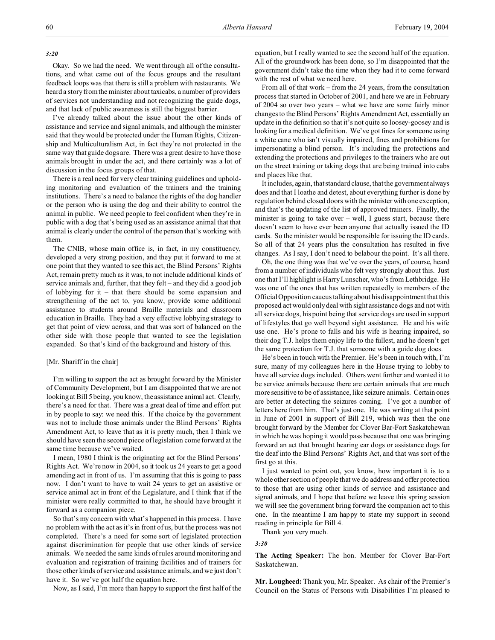*3:20*

Okay. So we had the need. We went through all of the consultations, and what came out of the focus groups and the resultant feedback loops was that there is still a problem with restaurants. We heard a story from the minister about taxicabs, a number of providers of services not understanding and not recognizing the guide dogs, and that lack of public awareness is still the biggest barrier.

I've already talked about the issue about the other kinds of assistance and service and signal animals, and although the minister said that they would be protected under the Human Rights, Citizenship and Multiculturalism Act, in fact they're not protected in the same way that guide dogs are. There was a great desire to have those animals brought in under the act, and there certainly was a lot of discussion in the focus groups of that.

There is a real need for very clear training guidelines and upholding monitoring and evaluation of the trainers and the training institutions. There's a need to balance the rights of the dog handler or the person who is using the dog and their ability to control the animal in public. We need people to feel confident when they're in public with a dog that's being used as an assistance animal that that animal is clearly under the control of the person that's working with them.

The CNIB, whose main office is, in fact, in my constituency, developed a very strong position, and they put it forward to me at one point that they wanted to see this act, the Blind Persons' Rights Act, remain pretty much as it was, to not include additional kinds of service animals and, further, that they felt – and they did a good job of lobbying for it – that there should be some expansion and strengthening of the act to, you know, provide some additional assistance to students around Braille materials and classroom education in Braille. They had a very effective lobbying strategy to get that point of view across, and that was sort of balanced on the other side with those people that wanted to see the legislation expanded. So that's kind of the background and history of this.

#### [Mr. Shariff in the chair]

I'm willing to support the act as brought forward by the Minister of Community Development, but I am disappointed that we are not looking at Bill 5 being, you know, the assistance animal act. Clearly, there's a need for that. There was a great deal of time and effort put in by people to say: we need this. If the choice by the government was not to include those animals under the Blind Persons' Rights Amendment Act, to leave that as it is pretty much, then I think we should have seen the second piece of legislation come forward at the same time because we've waited.

I mean, 1980 I think is the originating act for the Blind Persons' Rights Act. We're now in 2004, so it took us 24 years to get a good amending act in front of us. I'm assuming that this is going to pass now. I don't want to have to wait 24 years to get an assistive or service animal act in front of the Legislature, and I think that if the minister were really committed to that, he should have brought it forward as a companion piece.

So that's my concern with what's happened in this process. I have no problem with the act as it's in front of us, but the process was not completed. There's a need for some sort of legislated protection against discrimination for people that use other kinds of service animals. We needed the same kinds of rules around monitoring and evaluation and registration of training facilities and of trainers for those other kinds of service and assistance animals, and we just don't have it. So we've got half the equation here.

Now, as I said, I'm more than happy to support the first half of the

equation, but I really wanted to see the second half of the equation. All of the groundwork has been done, so I'm disappointed that the government didn't take the time when they had it to come forward with the rest of what we need here.

From all of that work – from the 24 years, from the consultation process that started in October of 2001, and here we are in February of 2004 so over two years – what we have are some fairly minor changes to the Blind Persons' Rights Amendment Act, essentially an update in the definition so that it's not quite so loosey-goosey and is looking for a medical definition. We've got fines for someone using a white cane who isn't visually impaired, fines and prohibitions for impersonating a blind person. It's including the protections and extending the protections and privileges to the trainers who are out on the street training or taking dogs that are being trained into cabs and places like that.

It includes, again, that standard clause, that the government always does and that I loathe and detest, about everything further is done by regulation behind closed doors with the minister with one exception, and that's the updating of the list of approved trainers. Finally, the minister is going to take over – well, I guess start, because there doesn't seem to have ever been anyone that actually issued the ID cards. So the minister would be responsible for issuing the ID cards. So all of that 24 years plus the consultation has resulted in five changes. As I say, I don't need to belabour the point. It's all there.

Oh, the one thing was that we've over the years, of course, heard from a number of individuals who felt very strongly about this. Just one that I'll highlight is Harry Lunscher, who's from Lethbridge. He was one of the ones that has written repeatedly to members of the Official Opposition caucus talking about his disappointment that this proposed act would only deal with sight assistance dogs and not with all service dogs, his point being that service dogs are used in support of lifestyles that go well beyond sight assistance. He and his wife use one. He's prone to falls and his wife is hearing impaired, so their dog T.J. helps them enjoy life to the fullest, and he doesn't get the same protection for T.J. that someone with a guide dog does.

He's been in touch with the Premier. He's been in touch with, I'm sure, many of my colleagues here in the House trying to lobby to have all service dogs included. Others went further and wanted it to be service animals because there are certain animals that are much more sensitive to be of assistance, like seizure animals. Certain ones are better at detecting the seizures coming. I've got a number of letters here from him. That's just one. He was writing at that point in June of 2001 in support of Bill 219, which was then the one brought forward by the Member for Clover Bar-Fort Saskatchewan in which he was hoping it would pass because that one was bringing forward an act that brought hearing ear dogs or assistance dogs for the deaf into the Blind Persons' Rights Act, and that was sort of the first go at this.

I just wanted to point out, you know, how important it is to a whole other section of people that we do address and offer protection to those that are using other kinds of service and assistance and signal animals, and I hope that before we leave this spring session we will see the government bring forward the companion act to this one. In the meantime I am happy to state my support in second reading in principle for Bill 4.

Thank you very much.

#### *3:30*

**The Acting Speaker:** The hon. Member for Clover Bar-Fort Saskatchewan.

**Mr. Lougheed:** Thank you, Mr. Speaker. As chair of the Premier's Council on the Status of Persons with Disabilities I'm pleased to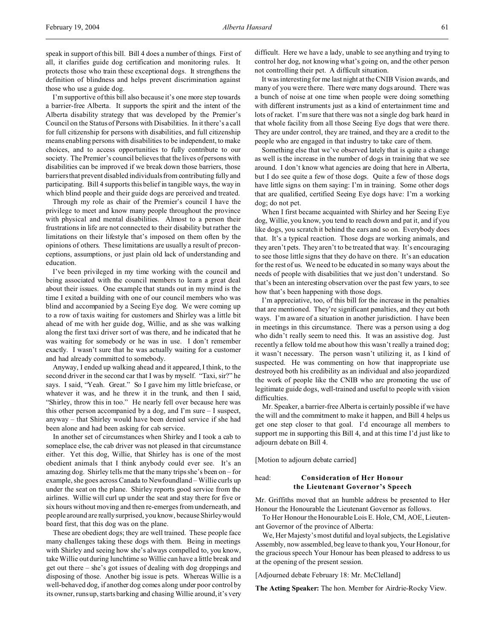speak in support of this bill. Bill 4 does a number of things. First of all, it clarifies guide dog certification and monitoring rules. It protects those who train these exceptional dogs. It strengthens the definition of blindness and helps prevent discrimination against those who use a guide dog.

I'm supportive of this bill also because it's one more step towards a barrier-free Alberta. It supports the spirit and the intent of the Alberta disability strategy that was developed by the Premier's Council on the Status of Persons with Disabilities. In it there's a call for full citizenship for persons with disabilities, and full citizenship means enabling persons with disabilities to be independent, to make choices, and to access opportunities to fully contribute to our society. The Premier's council believes that the lives of persons with disabilities can be improved if we break down those barriers, those barriers that prevent disabled individuals from contributing fully and participating. Bill 4 supports this belief in tangible ways, the way in which blind people and their guide dogs are perceived and treated.

Through my role as chair of the Premier's council I have the privilege to meet and know many people throughout the province with physical and mental disabilities. Almost to a person their frustrations in life are not connected to their disability but rather the limitations on their lifestyle that's imposed on them often by the opinions of others. These limitations are usually a result of preconceptions, assumptions, or just plain old lack of understanding and education.

I've been privileged in my time working with the council and being associated with the council members to learn a great deal about their issues. One example that stands out in my mind is the time I exited a building with one of our council members who was blind and accompanied by a Seeing Eye dog. We were coming up to a row of taxis waiting for customers and Shirley was a little bit ahead of me with her guide dog, Willie, and as she was walking along the first taxi driver sort of was there, and he indicated that he was waiting for somebody or he was in use. I don't remember exactly. I wasn't sure that he was actually waiting for a customer and had already committed to somebody.

Anyway, I ended up walking ahead and it appeared, I think, to the second driver in the second car that I was by myself. "Taxi, sir?" he says. I said, "Yeah. Great." So I gave him my little briefcase, or whatever it was, and he threw it in the trunk, and then I said, "Shirley, throw this in too." He nearly fell over because here was this other person accompanied by a dog, and I'm sure – I suspect, anyway – that Shirley would have been denied service if she had been alone and had been asking for cab service.

In another set of circumstances when Shirley and I took a cab to someplace else, the cab driver was not pleased in that circumstance either. Yet this dog, Willie, that Shirley has is one of the most obedient animals that I think anybody could ever see. It's an amazing dog. Shirley tells me that the many trips she's been on – for example, she goes across Canada to Newfoundland – Willie curls up under the seat on the plane. Shirley reports good service from the airlines. Willie will curl up under the seat and stay there for five or six hours without moving and then re-emerges from underneath, and people around are really surprised, you know, because Shirley would board first, that this dog was on the plane.

These are obedient dogs; they are well trained. These people face many challenges taking these dogs with them. Being in meetings with Shirley and seeing how she's always compelled to, you know, take Willie out during lunchtime so Willie can have a little break and get out there – she's got issues of dealing with dog droppings and disposing of those. Another big issue is pets. Whereas Willie is a well-behaved dog, if another dog comes along under poor control by its owner, runs up, starts barking and chasing Willie around, it's very

difficult. Here we have a lady, unable to see anything and trying to control her dog, not knowing what's going on, and the other person not controlling their pet. A difficult situation.

It was interesting for me last night at the CNIB Vision awards, and many of you were there. There were many dogs around. There was a bunch of noise at one time when people were doing something with different instruments just as a kind of entertainment time and lots of racket. I'm sure that there was not a single dog bark heard in that whole facility from all those Seeing Eye dogs that were there. They are under control, they are trained, and they are a credit to the people who are engaged in that industry to take care of them.

Something else that we've observed lately that is quite a change as well is the increase in the number of dogs in training that we see around. I don't know what agencies are doing that here in Alberta, but I do see quite a few of those dogs. Quite a few of those dogs have little signs on them saying: I'm in training. Some other dogs that are qualified, certified Seeing Eye dogs have: I'm a working dog; do not pet.

When I first became acquainted with Shirley and her Seeing Eye dog, Willie, you know, you tend to reach down and pat it, and if you like dogs, you scratch it behind the ears and so on. Everybody does that. It's a typical reaction. Those dogs are working animals, and they aren't pets. They aren't to be treated that way. It's encouraging to see those little signs that they do have on there. It's an education for the rest of us. We need to be educated in so many ways about the needs of people with disabilities that we just don't understand. So that's been an interesting observation over the past few years, to see how that's been happening with those dogs.

I'm appreciative, too, of this bill for the increase in the penalties that are mentioned. They're significant penalties, and they cut both ways. I'm aware of a situation in another jurisdiction. I have been in meetings in this circumstance. There was a person using a dog who didn't really seem to need this. It was an assistive dog. Just recently a fellow told me about how this wasn't really a trained dog; it wasn't necessary. The person wasn't utilizing it, as I kind of suspected. He was commenting on how that inappropriate use destroyed both his credibility as an individual and also jeopardized the work of people like the CNIB who are promoting the use of legitimate guide dogs, well-trained and useful to people with vision difficulties.

Mr. Speaker, a barrier-free Alberta is certainly possible if we have the will and the commitment to make it happen, and Bill 4 helps us get one step closer to that goal. I'd encourage all members to support me in supporting this Bill 4, and at this time I'd just like to adjourn debate on Bill 4.

[Motion to adjourn debate carried]

# head: **Consideration of Her Honour the Lieutenant Governor's Speech**

Mr. Griffiths moved that an humble address be presented to Her Honour the Honourable the Lieutenant Governor as follows.

To Her Honour the Honourable Lois E. Hole, CM, AOE, Lieutenant Governor of the province of Alberta:

We, Her Majesty's most dutiful and loyal subjects, the Legislative Assembly, now assembled, beg leave to thank you, Your Honour, for the gracious speech Your Honour has been pleased to address to us at the opening of the present session.

[Adjourned debate February 18: Mr. McClelland]

**The Acting Speaker:** The hon. Member for Airdrie-Rocky View.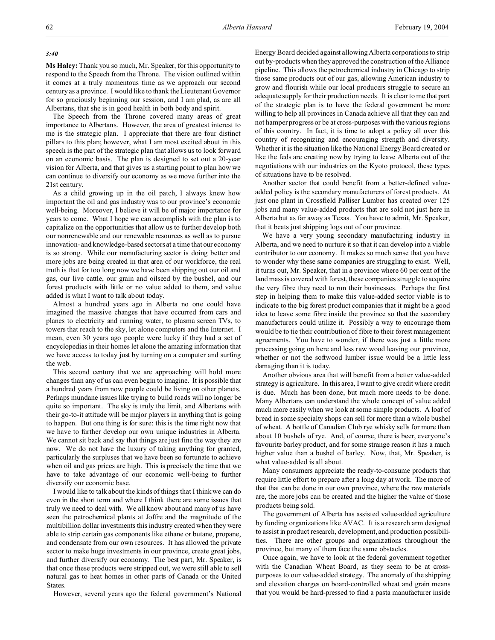# *3:40*

**Ms Haley:** Thank you so much, Mr. Speaker, for this opportunity to respond to the Speech from the Throne. The vision outlined within it comes at a truly momentous time as we approach our second century as a province. I would like to thank the Lieutenant Governor for so graciously beginning our session, and I am glad, as are all Albertans, that she is in good health in both body and spirit.

The Speech from the Throne covered many areas of great importance to Albertans. However, the area of greatest interest to me is the strategic plan. I appreciate that there are four distinct pillars to this plan; however, what I am most excited about in this speech is the part of the strategic plan that allows us to look forward on an economic basis. The plan is designed to set out a 20-year vision for Alberta, and that gives us a starting point to plan how we can continue to diversify our economy as we move further into the 21st century.

As a child growing up in the oil patch, I always knew how important the oil and gas industry was to our province's economic well-being. Moreover, I believe it will be of major importance for years to come. What I hope we can accomplish with the plan is to capitalize on the opportunities that allow us to further develop both our nonrenewable and our renewable resources as well as to pursue innovation- and knowledge-based sectors at a time that our economy is so strong. While our manufacturing sector is doing better and more jobs are being created in that area of our workforce, the real truth is that for too long now we have been shipping out our oil and gas, our live cattle, our grain and oilseed by the bushel, and our forest products with little or no value added to them, and value added is what I want to talk about today.

Almost a hundred years ago in Alberta no one could have imagined the massive changes that have occurred from cars and planes to electricity and running water, to plasma screen TVs, to towers that reach to the sky, let alone computers and the Internet. I mean, even 30 years ago people were lucky if they had a set of encyclopedias in their homes let alone the amazing information that we have access to today just by turning on a computer and surfing the web.

This second century that we are approaching will hold more changes than any of us can even begin to imagine. It is possible that a hundred years from now people could be living on other planets. Perhaps mundane issues like trying to build roads will no longer be quite so important. The sky is truly the limit, and Albertans with their go-to-it attitude will be major players in anything that is going to happen. But one thing is for sure: this is the time right now that we have to further develop our own unique industries in Alberta. We cannot sit back and say that things are just fine the way they are now. We do not have the luxury of taking anything for granted, particularly the surpluses that we have been so fortunate to achieve when oil and gas prices are high. This is precisely the time that we have to take advantage of our economic well-being to further diversify our economic base.

I would like to talk about the kinds of things that I think we can do even in the short term and where I think there are some issues that truly we need to deal with. We all know about and many of us have seen the petrochemical plants at Joffre and the magnitude of the multibillion dollar investments this industry created when they were able to strip certain gas components like ethane or butane, propane, and condensate from our own resources. It has allowed the private sector to make huge investments in our province, create great jobs, and further diversify our economy. The best part, Mr. Speaker, is that once these products were stripped out, we were still able to sell natural gas to heat homes in other parts of Canada or the United States.

However, several years ago the federal government's National

Energy Board decided against allowing Alberta corporations to strip out by-products when they approved the construction of the Alliance pipeline. This allows the petrochemical industry in Chicago to strip those same products out of our gas, allowing American industry to grow and flourish while our local producers struggle to secure an adequate supply for their production needs. It is clear to me that part of the strategic plan is to have the federal government be more willing to help all provinces in Canada achieve all that they can and not hamper progress or be at cross-purposes with the various regions of this country. In fact, it is time to adopt a policy all over this country of recognizing and encouraging strength and diversity. Whether it is the situation like the National Energy Board created or like the feds are creating now by trying to leave Alberta out of the negotiations with our industries on the Kyoto protocol, these types of situations have to be resolved.

Another sector that could benefit from a better-defined valueadded policy is the secondary manufacturers of forest products. At just one plant in Crossfield Palliser Lumber has created over 125 jobs and many value-added products that are sold not just here in Alberta but as far away as Texas. You have to admit, Mr. Speaker, that it beats just shipping logs out of our province.

We have a very young secondary manufacturing industry in Alberta, and we need to nurture it so that it can develop into a viable contributor to our economy. It makes so much sense that you have to wonder why these same companies are struggling to exist. Well, it turns out, Mr. Speaker, that in a province where 60 per cent of the land mass is covered with forest, these companies struggle to acquire the very fibre they need to run their businesses. Perhaps the first step in helping them to make this value-added sector viable is to indicate to the big forest product companies that it might be a good idea to leave some fibre inside the province so that the secondary manufacturers could utilize it. Possibly a way to encourage them would be to tie their contribution of fibre to their forest management agreements. You have to wonder, if there was just a little more processing going on here and less raw wood leaving our province, whether or not the softwood lumber issue would be a little less damaging than it is today.

Another obvious area that will benefit from a better value-added strategy is agriculture. In this area, I want to give credit where credit is due. Much has been done, but much more needs to be done. Many Albertans can understand the whole concept of value added much more easily when we look at some simple products. A loaf of bread in some specialty shops can sell for more than a whole bushel of wheat. A bottle of Canadian Club rye whisky sells for more than about 10 bushels of rye. And, of course, there is beer, everyone's favourite barley product, and for some strange reason it has a much higher value than a bushel of barley. Now, that, Mr. Speaker, is what value-added is all about.

Many consumers appreciate the ready-to-consume products that require little effort to prepare after a long day at work. The more of that that can be done in our own province, where the raw materials are, the more jobs can be created and the higher the value of those products being sold.

The government of Alberta has assisted value-added agriculture by funding organizations like AVAC. It is a research arm designed to assist in product research, development, and production possibilities. There are other groups and organizations throughout the province, but many of them face the same obstacles.

Once again, we have to look at the federal government together with the Canadian Wheat Board, as they seem to be at crosspurposes to our value-added strategy. The anomaly of the shipping and elevation charges on board-controlled wheat and grain means that you would be hard-pressed to find a pasta manufacturer inside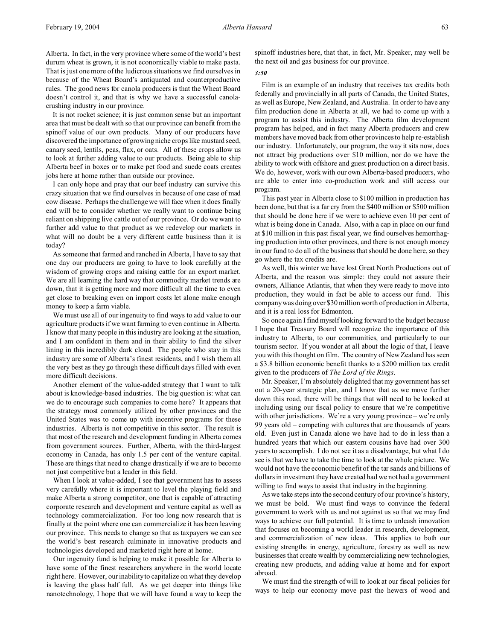It is not rocket science; it is just common sense but an important area that must be dealt with so that our province can benefit from the spinoff value of our own products. Many of our producers have discovered the importance of growing niche crops like mustard seed, canary seed, lentils, peas, flax, or oats. All of these crops allow us to look at further adding value to our products. Being able to ship Alberta beef in boxes or to make pet food and suede coats creates jobs here at home rather than outside our province.

I can only hope and pray that our beef industry can survive this crazy situation that we find ourselves in because of one case of mad cow disease. Perhaps the challenge we will face when it does finally end will be to consider whether we really want to continue being reliant on shipping live cattle out of our province. Or do we want to further add value to that product as we redevelop our markets in what will no doubt be a very different cattle business than it is today?

As someone that farmed and ranched in Alberta, I have to say that one day our producers are going to have to look carefully at the wisdom of growing crops and raising cattle for an export market. We are all learning the hard way that commodity market trends are down, that it is getting more and more difficult all the time to even get close to breaking even on import costs let alone make enough money to keep a farm viable.

We must use all of our ingenuity to find ways to add value to our agriculture products if we want farming to even continue in Alberta. I know that many people in this industry are looking at the situation, and I am confident in them and in their ability to find the silver lining in this incredibly dark cloud. The people who stay in this industry are some of Alberta's finest residents, and I wish them all the very best as they go through these difficult days filled with even more difficult decisions.

Another element of the value-added strategy that I want to talk about is knowledge-based industries. The big question is: what can we do to encourage such companies to come here? It appears that the strategy most commonly utilized by other provinces and the United States was to come up with incentive programs for these industries. Alberta is not competitive in this sector. The result is that most of the research and development funding in Alberta comes from government sources. Further, Alberta, with the third-largest economy in Canada, has only 1.5 per cent of the venture capital. These are things that need to change drastically if we are to become not just competitive but a leader in this field.

When I look at value-added, I see that government has to assess very carefully where it is important to level the playing field and make Alberta a strong competitor, one that is capable of attracting corporate research and development and venture capital as well as technology commercialization. For too long now research that is finally at the point where one can commercialize it has been leaving our province. This needs to change so that as taxpayers we can see the world's best research culminate in innovative products and technologies developed and marketed right here at home.

Our ingenuity fund is helping to make it possible for Alberta to have some of the finest researchers anywhere in the world locate right here. However, our inability to capitalize on what they develop is leaving the glass half full. As we get deeper into things like nanotechnology, I hope that we will have found a way to keep the spinoff industries here, that that, in fact, Mr. Speaker, may well be the next oil and gas business for our province.

# *3:50*

Film is an example of an industry that receives tax credits both federally and provincially in all parts of Canada, the United States, as well as Europe, New Zealand, and Australia. In order to have any film production done in Alberta at all, we had to come up with a program to assist this industry. The Alberta film development program has helped, and in fact many Alberta producers and crew members have moved back from other provinces to help re-establish our industry. Unfortunately, our program, the way it sits now, does not attract big productions over \$10 million, nor do we have the ability to work with offshore and guest production on a direct basis. We do, however, work with our own Alberta-based producers, who are able to enter into co-production work and still access our program.

This past year in Alberta close to \$100 million in production has been done, but that is a far cry from the \$400 million or \$500 million that should be done here if we were to achieve even 10 per cent of what is being done in Canada. Also, with a cap in place on our fund at \$10 million in this past fiscal year, we find ourselves hemorrhaging production into other provinces, and there is not enough money in our fund to do all of the business that should be done here, so they go where the tax credits are.

As well, this winter we have lost Great North Productions out of Alberta, and the reason was simple: they could not assure their owners, Alliance Atlantis, that when they were ready to move into production, they would in fact be able to access our fund. This company was doing over \$30 million worth of production in Alberta, and it is a real loss for Edmonton.

So once again I find myself looking forward to the budget because I hope that Treasury Board will recognize the importance of this industry to Alberta, to our communities, and particularly to our tourism sector. If you wonder at all about the logic of that, I leave you with this thought on film. The country of New Zealand has seen a \$3.8 billion economic benefit thanks to a \$200 million tax credit given to the producers of *The Lord of the Rings*.

Mr. Speaker, I'm absolutely delighted that my government has set out a 20-year strategic plan, and I know that as we move further down this road, there will be things that will need to be looked at including using our fiscal policy to ensure that we're competitive with other jurisdictions. We're a very young province – we're only 99 years old – competing with cultures that are thousands of years old. Even just in Canada alone we have had to do in less than a hundred years that which our eastern cousins have had over 300 years to accomplish. I do not see it as a disadvantage, but what I do see is that we have to take the time to look at the whole picture. We would not have the economic benefit of the tar sands and billions of dollars in investment they have created had we not had a government willing to find ways to assist that industry in the beginning.

As we take steps into the second century of our province's history, we must be bold. We must find ways to convince the federal government to work with us and not against us so that we may find ways to achieve our full potential. It is time to unleash innovation that focuses on becoming a world leader in research, development, and commercialization of new ideas. This applies to both our existing strengths in energy, agriculture, forestry as well as new businesses that create wealth by commercializing new technologies, creating new products, and adding value at home and for export abroad.

We must find the strength of will to look at our fiscal policies for ways to help our economy move past the hewers of wood and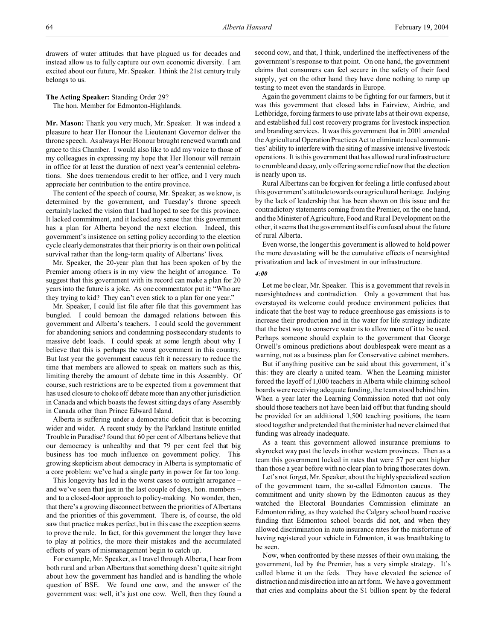drawers of water attitudes that have plagued us for decades and instead allow us to fully capture our own economic diversity. I am excited about our future, Mr. Speaker. I think the 21st century truly belongs to us.

**The Acting Speaker:** Standing Order 29? The hon. Member for Edmonton-Highlands.

**Mr. Mason:** Thank you very much, Mr. Speaker. It was indeed a pleasure to hear Her Honour the Lieutenant Governor deliver the throne speech. As always Her Honour brought renewed warmth and grace to this Chamber. I would also like to add my voice to those of my colleagues in expressing my hope that Her Honour will remain in office for at least the duration of next year's centennial celebrations. She does tremendous credit to her office, and I very much appreciate her contribution to the entire province.

The content of the speech of course, Mr. Speaker, as we know, is determined by the government, and Tuesday's throne speech certainly lacked the vision that I had hoped to see for this province. It lacked commitment, and it lacked any sense that this government has a plan for Alberta beyond the next election. Indeed, this government's insistence on setting policy according to the election cycle clearly demonstrates that their priority is on their own political survival rather than the long-term quality of Albertans' lives.

Mr. Speaker, the 20-year plan that has been spoken of by the Premier among others is in my view the height of arrogance. To suggest that this government with its record can make a plan for 20 years into the future is a joke. As one commentator put it: "Who are they trying to kid? They can't even stick to a plan for one year."

Mr. Speaker, I could list file after file that this government has bungled. I could bemoan the damaged relations between this government and Alberta's teachers. I could scold the government for abandoning seniors and condemning postsecondary students to massive debt loads. I could speak at some length about why I believe that this is perhaps the worst government in this country. But last year the government caucus felt it necessary to reduce the time that members are allowed to speak on matters such as this, limiting thereby the amount of debate time in this Assembly. Of course, such restrictions are to be expected from a government that has used closure to choke off debate more than any other jurisdiction in Canada and which boasts the fewest sitting days of any Assembly in Canada other than Prince Edward Island.

Alberta is suffering under a democratic deficit that is becoming wider and wider. A recent study by the Parkland Institute entitled Trouble in Paradise? found that 60 per cent of Albertans believe that our democracy is unhealthy and that 79 per cent feel that big business has too much influence on government policy. This growing skepticism about democracy in Alberta is symptomatic of a core problem: we've had a single party in power for far too long.

This longevity has led in the worst cases to outright arrogance – and we've seen that just in the last couple of days, hon. members – and to a closed-door approach to policy-making. No wonder, then, that there's a growing disconnect between the priorities of Albertans and the priorities of this government. There is, of course, the old saw that practice makes perfect, but in this case the exception seems to prove the rule. In fact, for this government the longer they have to play at politics, the more their mistakes and the accumulated effects of years of mismanagement begin to catch up.

For example, Mr. Speaker, as I travel through Alberta, I hear from both rural and urban Albertans that something doesn't quite sit right about how the government has handled and is handling the whole question of BSE. We found one cow, and the answer of the government was: well, it's just one cow. Well, then they found a

second cow, and that, I think, underlined the ineffectiveness of the government's response to that point. On one hand, the government claims that consumers can feel secure in the safety of their food supply, yet on the other hand they have done nothing to ramp up testing to meet even the standards in Europe.

Again the government claims to be fighting for our farmers, but it was this government that closed labs in Fairview, Airdrie, and Lethbridge, forcing farmers to use private labs at their own expense, and established full cost recovery programs for livestock inspection and branding services. It was this government that in 2001 amended the Agricultural Operation Practices Act to eliminate local communities' ability to interfere with the siting of massive intensive livestock operations. It is this government that has allowed rural infrastructure to crumble and decay, only offering some relief now that the election is nearly upon us.

Rural Albertans can be forgiven for feeling a little confused about this government's attitudetowards our agricultural heritage. Judging by the lack of leadership that has been shown on this issue and the contradictory statements coming from the Premier, on the one hand, and the Minister of Agriculture, Food and Rural Development on the other, it seems that the government itself is confused about the future of rural Alberta.

Even worse, the longer this government is allowed to hold power the more devastating will be the cumulative effects of nearsighted privatization and lack of investment in our infrastructure.

#### *4:00*

Let me be clear, Mr. Speaker. This is a government that revels in nearsightedness and contradiction. Only a government that has overstayed its welcome could produce environment policies that indicate that the best way to reduce greenhouse gas emissions is to increase their production and in the water for life strategy indicate that the best way to conserve water is to allow more of it to be used. Perhaps someone should explain to the government that George Orwell's ominous predictions about doublespeak were meant as a warning, not as a business plan for Conservative cabinet members.

But if anything positive can be said about this government, it's this: they are clearly a united team. When the Learning minister forced the layoff of 1,000 teachers in Alberta while claiming school boards were receiving adequate funding, the team stood behind him. When a year later the Learning Commission noted that not only should those teachers not have been laid off but that funding should be provided for an additional 1,500 teaching positions, the team stood together and pretended that the minister had never claimed that funding was already inadequate.

As a team this government allowed insurance premiums to skyrocket way past the levels in other western provinces. Then as a team this government locked in rates that were 57 per cent higher than those a year before with no clear plan to bring those rates down.

Let's not forget, Mr. Speaker, about the highly specialized section of the government team, the so-called Edmonton caucus. The commitment and unity shown by the Edmonton caucus as they watched the Electoral Boundaries Commission eliminate an Edmonton riding, as they watched the Calgary school board receive funding that Edmonton school boards did not, and when they allowed discrimination in auto insurance rates for the misfortune of having registered your vehicle in Edmonton, it was breathtaking to be seen.

Now, when confronted by these messes of their own making, the government, led by the Premier, has a very simple strategy. It's called blame it on the feds. They have elevated the science of distraction and misdirection into an art form. We have a government that cries and complains about the \$1 billion spent by the federal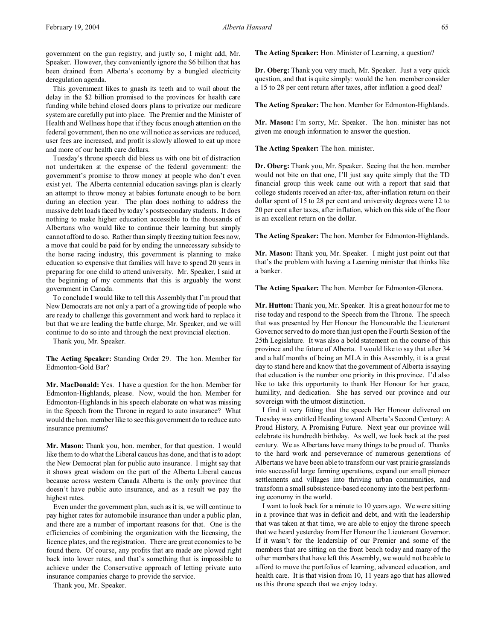This government likes to gnash its teeth and to wail about the delay in the \$2 billion promised to the provinces for health care funding while behind closed doors plans to privatize our medicare system are carefully put into place. The Premier and the Minister of Health and Wellness hope that if they focus enough attention on the federal government, then no one will notice as services are reduced, user fees are increased, and profit is slowly allowed to eat up more and more of our health care dollars.

Tuesday's throne speech did bless us with one bit of distraction not undertaken at the expense of the federal government: the government's promise to throw money at people who don't even exist yet. The Alberta centennial education savings plan is clearly an attempt to throw money at babies fortunate enough to be born during an election year. The plan does nothing to address the massive debt loads faced by today's postsecondary students. It does nothing to make higher education accessible to the thousands of Albertans who would like to continue their learning but simply cannot afford to do so. Rather than simply freezing tuition fees now, a move that could be paid for by ending the unnecessary subsidy to the horse racing industry, this government is planning to make education so expensive that families will have to spend 20 years in preparing for one child to attend university. Mr. Speaker, I said at the beginning of my comments that this is arguably the worst government in Canada.

To conclude I would like to tell this Assembly that I'm proud that New Democrats are not only a part of a growing tide of people who are ready to challenge this government and work hard to replace it but that we are leading the battle charge, Mr. Speaker, and we will continue to do so into and through the next provincial election.

Thank you, Mr. Speaker.

**The Acting Speaker:** Standing Order 29. The hon. Member for Edmonton-Gold Bar?

**Mr. MacDonald:** Yes. I have a question for the hon. Member for Edmonton-Highlands, please. Now, would the hon. Member for Edmonton-Highlands in his speech elaborate on what was missing in the Speech from the Throne in regard to auto insurance? What would the hon. member like to see this government do to reduce auto insurance premiums?

**Mr. Mason:** Thank you, hon. member, for that question. I would like them to do what the Liberal caucus has done, and that is to adopt the New Democrat plan for public auto insurance. I might say that it shows great wisdom on the part of the Alberta Liberal caucus because across western Canada Alberta is the only province that doesn't have public auto insurance, and as a result we pay the highest rates.

Even under the government plan, such as it is, we will continue to pay higher rates for automobile insurance than under a public plan, and there are a number of important reasons for that. One is the efficiencies of combining the organization with the licensing, the licence plates, and the registration. There are great economies to be found there. Of course, any profits that are made are plowed right back into lower rates, and that's something that is impossible to achieve under the Conservative approach of letting private auto insurance companies charge to provide the service.

Thank you, Mr. Speaker.

**The Acting Speaker:** Hon. Minister of Learning, a question?

**Dr. Oberg:** Thank you very much, Mr. Speaker. Just a very quick question, and that is quite simply: would the hon. member consider a 15 to 28 per cent return after taxes, after inflation a good deal?

**The Acting Speaker:** The hon. Member for Edmonton-Highlands.

**Mr. Mason:** I'm sorry, Mr. Speaker. The hon. minister has not given me enough information to answer the question.

**The Acting Speaker:** The hon. minister.

**Dr. Oberg:** Thank you, Mr. Speaker. Seeing that the hon. member would not bite on that one, I'll just say quite simply that the TD financial group this week came out with a report that said that college students received an after-tax, after-inflation return on their dollar spent of 15 to 28 per cent and university degrees were 12 to 20 per cent after taxes, after inflation, which on this side of the floor is an excellent return on the dollar.

**The Acting Speaker:** The hon. Member for Edmonton-Highlands.

**Mr. Mason:** Thank you, Mr. Speaker. I might just point out that that's the problem with having a Learning minister that thinks like a banker.

**The Acting Speaker:** The hon. Member for Edmonton-Glenora.

**Mr. Hutton:** Thank you, Mr. Speaker. It is a great honour for me to rise today and respond to the Speech from the Throne. The speech that was presented by Her Honour the Honourable the Lieutenant Governor served to do more than just open the Fourth Session of the 25th Legislature. It was also a bold statement on the course of this province and the future of Alberta. I would like to say that after 34 and a half months of being an MLA in this Assembly, it is a great day to stand here and know that the government of Alberta is saying that education is the number one priority in this province. I'd also like to take this opportunity to thank Her Honour for her grace, humility, and dedication. She has served our province and our sovereign with the utmost distinction.

I find it very fitting that the speech Her Honour delivered on Tuesday was entitled Heading toward Alberta's Second Century: A Proud History, A Promising Future. Next year our province will celebrate its hundredth birthday. As well, we look back at the past century. We as Albertans have many things to be proud of. Thanks to the hard work and perseverance of numerous generations of Albertans we have been able to transform our vast prairie grasslands into successful large farming operations, expand our small pioneer settlements and villages into thriving urban communities, and transform a small subsistence-based economy into the best performing economy in the world.

I want to look back for a minute to 10 years ago. We were sitting in a province that was in deficit and debt, and with the leadership that was taken at that time, we are able to enjoy the throne speech that we heard yesterday from Her Honour the Lieutenant Governor. If it wasn't for the leadership of our Premier and some of the members that are sitting on the front bench today and many of the other members that have left this Assembly, we would not be able to afford to move the portfolios of learning, advanced education, and health care. It is that vision from 10, 11 years ago that has allowed us this throne speech that we enjoy today.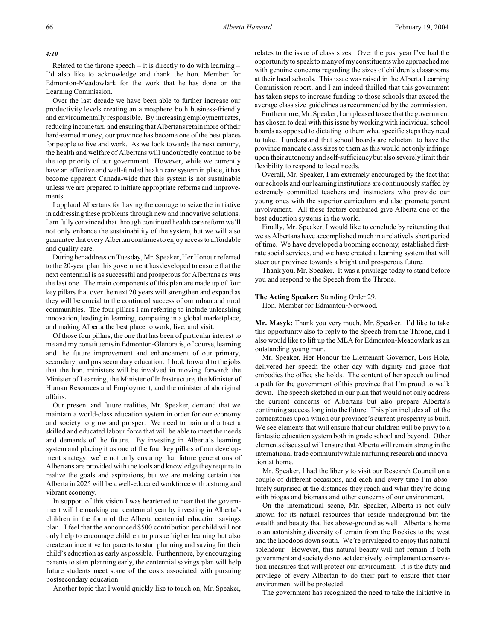#### *4:10*

Related to the throne speech  $-$  it is directly to do with learning  $-$ I'd also like to acknowledge and thank the hon. Member for Edmonton-Meadowlark for the work that he has done on the Learning Commission.

Over the last decade we have been able to further increase our productivity levels creating an atmosphere both business-friendly and environmentally responsible. By increasing employment rates, reducing income tax, and ensuring that Albertans retain more of their hard-earned money, our province has become one of the best places for people to live and work. As we look towards the next century, the health and welfare of Albertans will undoubtedly continue to be the top priority of our government. However, while we currently have an effective and well-funded health care system in place, it has become apparent Canada-wide that this system is not sustainable unless we are prepared to initiate appropriate reforms and improvements.

I applaud Albertans for having the courage to seize the initiative in addressing these problems through new and innovative solutions. I am fully convinced that through continued health care reform we'll not only enhance the sustainability of the system, but we will also guarantee that every Albertan continues to enjoy access to affordable and quality care.

During her address on Tuesday, Mr. Speaker, Her Honour referred to the 20-year plan this government has developed to ensure that the next centennial is as successful and prosperous for Albertans as was the last one. The main components of this plan are made up of four key pillars that over the next 20 years will strengthen and expand as they will be crucial to the continued success of our urban and rural communities. The four pillars I am referring to include unleashing innovation, leading in learning, competing in a global marketplace, and making Alberta the best place to work, live, and visit.

Of those four pillars, the one that has been of particular interest to me and my constituents in Edmonton-Glenora is, of course, learning and the future improvement and enhancement of our primary, secondary, and postsecondary education. I look forward to the jobs that the hon. ministers will be involved in moving forward: the Minister of Learning, the Minister of Infrastructure, the Minister of Human Resources and Employment, and the minister of aboriginal affairs.

Our present and future realities, Mr. Speaker, demand that we maintain a world-class education system in order for our economy and society to grow and prosper. We need to train and attract a skilled and educated labour force that will be able to meet the needs and demands of the future. By investing in Alberta's learning system and placing it as one of the four key pillars of our development strategy, we're not only ensuring that future generations of Albertans are provided with the tools and knowledge they require to realize the goals and aspirations, but we are making certain that Alberta in 2025 will be a well-educated workforce with a strong and vibrant economy.

In support of this vision I was heartened to hear that the government will be marking our centennial year by investing in Alberta's children in the form of the Alberta centennial education savings plan. I feel that the announced \$500 contribution per child will not only help to encourage children to pursue higher learning but also create an incentive for parents to start planning and saving for their child's education as early as possible. Furthermore, by encouraging parents to start planning early, the centennial savings plan will help future students meet some of the costs associated with pursuing postsecondary education.

Another topic that I would quickly like to touch on, Mr. Speaker,

relates to the issue of class sizes. Over the past year I've had the opportunity to speak to many of my constituents who approached me with genuine concerns regarding the sizes of children's classrooms at their local schools. This issue was raised in the Alberta Learning Commission report, and I am indeed thrilled that this government has taken steps to increase funding to those schools that exceed the average class size guidelines as recommended by the commission.

Furthermore, Mr. Speaker, I am pleased to see that the government has chosen to deal with this issue by working with individual school boards as opposed to dictating to them what specific steps they need to take. I understand that school boards are reluctant to have the province mandate class sizes to them as this would not only infringe upon their autonomy and self-sufficiency but also severely limit their flexibility to respond to local needs.

Overall, Mr. Speaker, I am extremely encouraged by the fact that our schools and our learning institutions are continuously staffed by extremely committed teachers and instructors who provide our young ones with the superior curriculum and also promote parent involvement. All these factors combined give Alberta one of the best education systems in the world.

Finally, Mr. Speaker, I would like to conclude by reiterating that we as Albertans have accomplished much in a relatively short period of time. We have developed a booming economy, established firstrate social services, and we have created a learning system that will steer our province towards a bright and prosperous future.

Thank you, Mr. Speaker. It was a privilege today to stand before you and respond to the Speech from the Throne.

### **The Acting Speaker:** Standing Order 29.

Hon. Member for Edmonton-Norwood.

**Mr. Masyk:** Thank you very much, Mr. Speaker. I'd like to take this opportunity also to reply to the Speech from the Throne, and I also would like to lift up the MLA for Edmonton-Meadowlark as an outstanding young man.

Mr. Speaker, Her Honour the Lieutenant Governor, Lois Hole, delivered her speech the other day with dignity and grace that embodies the office she holds. The content of her speech outlined a path for the government of this province that I'm proud to walk down. The speech sketched in our plan that would not only address the current concerns of Albertans but also prepare Alberta's continuing success long into the future. This plan includes all of the cornerstones upon which our province's current prosperity is built. We see elements that will ensure that our children will be privy to a fantastic education system both in grade school and beyond. Other elements discussed will ensure that Alberta will remain strong in the international trade community while nurturing research and innovation at home.

Mr. Speaker, I had the liberty to visit our Research Council on a couple of different occasions, and each and every time I'm absolutely surprised at the distances they reach and what they're doing with biogas and biomass and other concerns of our environment.

On the international scene, Mr. Speaker, Alberta is not only known for its natural resources that reside underground but the wealth and beauty that lies above-ground as well. Alberta is home to an astonishing diversity of terrain from the Rockies to the west and the hoodoos down south. We're privileged to enjoy this natural splendour. However, this natural beauty will not remain if both government and society do not act decisively to implement conservation measures that will protect our environment. It is the duty and privilege of every Albertan to do their part to ensure that their environment will be protected.

The government has recognized the need to take the initiative in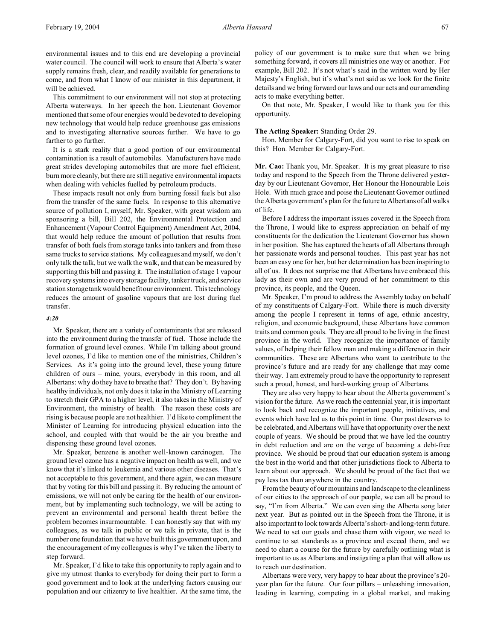environmental issues and to this end are developing a provincial water council. The council will work to ensure that Alberta's water supply remains fresh, clear, and readily available for generations to come, and from what I know of our minister in this department, it will be achieved.

This commitment to our environment will not stop at protecting Alberta waterways. In her speech the hon. Lieutenant Governor mentioned that some of our energies would be devoted to developing new technology that would help reduce greenhouse gas emissions and to investigating alternative sources further. We have to go farther to go further.

It is a stark reality that a good portion of our environmental contamination is a result of automobiles. Manufacturers have made great strides developing automobiles that are more fuel efficient, burn more cleanly, but there are still negative environmental impacts when dealing with vehicles fuelled by petroleum products.

These impacts result not only from burning fossil fuels but also from the transfer of the same fuels. In response to this alternative source of pollution I, myself, Mr. Speaker, with great wisdom am sponsoring a bill, Bill 202, the Environmental Protection and Enhancement (Vapour Control Equipment) Amendment Act, 2004, that would help reduce the amount of pollution that results from transfer of both fuels from storage tanks into tankers and from these same trucks to service stations. My colleagues and myself, we don't only talk the talk, but we walk the walk, and that can be measured by supporting this bill and passing it. The installation of stage 1 vapour recovery systems into every storage facility, tanker truck, and service station storage tank would benefit our environment. This technology reduces the amount of gasoline vapours that are lost during fuel transfer.

# *4:20*

Mr. Speaker, there are a variety of contaminants that are released into the environment during the transfer of fuel. Those include the formation of ground level ozones. While I'm talking about ground level ozones, I'd like to mention one of the ministries, Children's Services. As it's going into the ground level, these young future children of ours – mine, yours, everybody in this room, and all Albertans: why do they have to breathe that? They don't. By having healthy individuals, not only does it take in the Ministry of Learning to stretch their GPA to a higher level, it also takes in the Ministry of Environment, the ministry of health. The reason these costs are rising is because people are not healthier. I'd like to compliment the Minister of Learning for introducing physical education into the school, and coupled with that would be the air you breathe and dispensing these ground level ozones.

Mr. Speaker, benzene is another well-known carcinogen. The ground level ozone has a negative impact on health as well, and we know that it's linked to leukemia and various other diseases. That's not acceptable to this government, and there again, we can measure that by voting for this bill and passing it. By reducing the amount of emissions, we will not only be caring for the health of our environment, but by implementing such technology, we will be acting to prevent an environmental and personal health threat before the problem becomes insurmountable. I can honestly say that with my colleagues, as we talk in public or we talk in private, that is the number one foundation that we have built this government upon, and the encouragement of my colleagues is why I've taken the liberty to step forward.

Mr. Speaker, I'd like to take this opportunity to reply again and to give my utmost thanks to everybody for doing their part to form a good government and to look at the underlying factors causing our population and our citizenry to live healthier. At the same time, the policy of our government is to make sure that when we bring something forward, it covers all ministries one way or another. For example, Bill 202. It's not what's said in the written word by Her Majesty's English, but it's what's not said as we look for the finite details and we bring forward our laws and our acts and our amending acts to make everything better.

On that note, Mr. Speaker, I would like to thank you for this opportunity.

### **The Acting Speaker:** Standing Order 29.

Hon. Member for Calgary-Fort, did you want to rise to speak on this? Hon. Member for Calgary-Fort.

**Mr. Cao:** Thank you, Mr. Speaker. It is my great pleasure to rise today and respond to the Speech from the Throne delivered yesterday by our Lieutenant Governor, Her Honour the Honourable Lois Hole. With much grace and poise the Lieutenant Governor outlined the Alberta government's plan for the future to Albertans of all walks of life.

Before I address the important issues covered in the Speech from the Throne, I would like to express appreciation on behalf of my constituents for the dedication the Lieutenant Governor has shown in her position. She has captured the hearts of all Albertans through her passionate words and personal touches. This past year has not been an easy one for her, but her determination has been inspiring to all of us. It does not surprise me that Albertans have embraced this lady as their own and are very proud of her commitment to this province, its people, and the Queen.

Mr. Speaker, I'm proud to address the Assembly today on behalf of my constituents of Calgary-Fort. While there is much diversity among the people I represent in terms of age, ethnic ancestry, religion, and economic background, these Albertans have common traits and common goals. They are all proud to be living in the finest province in the world. They recognize the importance of family values, of helping their fellow man and making a difference in their communities. These are Albertans who want to contribute to the province's future and are ready for any challenge that may come their way. I am extremely proud to have the opportunity to represent such a proud, honest, and hard-working group of Albertans.

They are also very happy to hear about the Alberta government's vision for the future. As we reach the centennial year, it is important to look back and recognize the important people, initiatives, and events which have led us to this point in time. Our past deserves to be celebrated, and Albertans will have that opportunity over the next couple of years. We should be proud that we have led the country in debt reduction and are on the verge of becoming a debt-free province. We should be proud that our education system is among the best in the world and that other jurisdictions flock to Alberta to learn about our approach. We should be proud of the fact that we pay less tax than anywhere in the country.

From the beauty of our mountains and landscape to the cleanliness of our cities to the approach of our people, we can all be proud to say, "I'm from Alberta." We can even sing the Alberta song later next year. But as pointed out in the Speech from the Throne, it is also important to look towards Alberta's short- and long-term future. We need to set our goals and chase them with vigour, we need to continue to set standards as a province and exceed them, and we need to chart a course for the future by carefully outlining what is important to us as Albertans and instigating a plan that will allow us to reach our destination.

Albertans were very, very happy to hear about the province's 20 year plan for the future. Our four pillars – unleashing innovation, leading in learning, competing in a global market, and making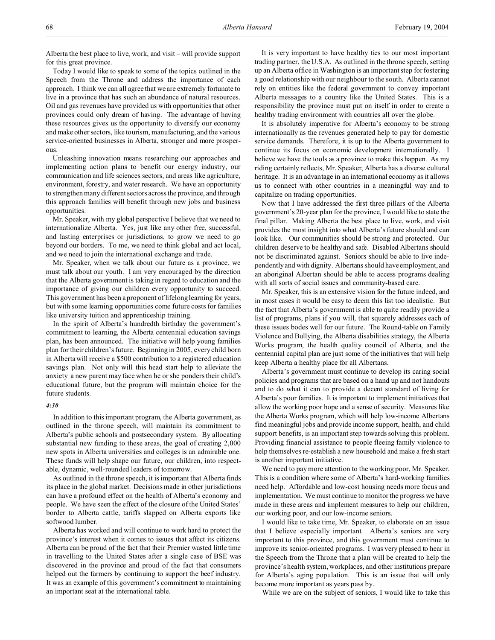Today I would like to speak to some of the topics outlined in the Speech from the Throne and address the importance of each approach. I think we can all agree that we are extremely fortunate to live in a province that has such an abundance of natural resources. Oil and gas revenues have provided us with opportunities that other provinces could only dream of having. The advantage of having these resources gives us the opportunity to diversify our economy and make other sectors, like tourism, manufacturing, and the various service-oriented businesses in Alberta, stronger and more prosperous.

Unleashing innovation means researching our approaches and implementing action plans to benefit our energy industry, our communication and life sciences sectors, and areas like agriculture, environment, forestry, and water research. We have an opportunity to strengthen many different sectors across the province, and through this approach families will benefit through new jobs and business opportunities.

Mr. Speaker, with my global perspective I believe that we need to internationalize Alberta. Yes, just like any other free, successful, and lasting enterprises or jurisdictions, to grow we need to go beyond our borders. To me, we need to think global and act local, and we need to join the international exchange and trade.

Mr. Speaker, when we talk about our future as a province, we must talk about our youth. I am very encouraged by the direction that the Alberta government is taking in regard to education and the importance of giving our children every opportunity to succeed. This government has been a proponent of lifelong learning for years, but with some learning opportunities come future costs for families like university tuition and apprenticeship training.

In the spirit of Alberta's hundredth birthday the government's commitment to learning, the Alberta centennial education savings plan, has been announced. The initiative will help young families plan for their children's future. Beginning in 2005, every child born in Alberta will receive a \$500 contribution to a registered education savings plan. Not only will this head start help to alleviate the anxiety a new parent may face when he or she ponders their child's educational future, but the program will maintain choice for the future students.

#### *4:30*

In addition to this important program, the Alberta government, as outlined in the throne speech, will maintain its commitment to Alberta's public schools and postsecondary system. By allocating substantial new funding to these areas, the goal of creating 2,000 new spots in Alberta universities and colleges is an admirable one. These funds will help shape our future, our children, into respectable, dynamic, well-rounded leaders of tomorrow.

As outlined in the throne speech, it is important that Alberta finds its place in the global market. Decisions made in other jurisdictions can have a profound effect on the health of Alberta's economy and people. We have seen the effect of the closure of the United States' border to Alberta cattle, tariffs slapped on Alberta exports like softwood lumber.

Alberta has worked and will continue to work hard to protect the province's interest when it comes to issues that affect its citizens. Alberta can be proud of the fact that their Premier wasted little time in travelling to the United States after a single case of BSE was discovered in the province and proud of the fact that consumers helped out the farmers by continuing to support the beef industry. It was an example of this government's commitment to maintaining an important seat at the international table.

It is very important to have healthy ties to our most important trading partner, the U.S.A. As outlined in the throne speech, setting up an Alberta office in Washington is an important step for fostering a good relationship with our neighbour to the south. Alberta cannot rely on entities like the federal government to convey important Alberta messages to a country like the United States. This is a responsibility the province must put on itself in order to create a healthy trading environment with countries all over the globe.

It is absolutely imperative for Alberta's economy to be strong internationally as the revenues generated help to pay for domestic service demands. Therefore, it is up to the Alberta government to continue its focus on economic development internationally. I believe we have the tools as a province to make this happen. As my riding certainly reflects, Mr. Speaker, Alberta has a diverse cultural heritage. It is an advantage in an international economy as it allows us to connect with other countries in a meaningful way and to capitalize on trading opportunities.

Now that I have addressed the first three pillars of the Alberta government's 20-year plan for the province, I would like to state the final pillar. Making Alberta the best place to live, work, and visit provides the most insight into what Alberta's future should and can look like. Our communities should be strong and protected. Our children deserve to be healthy and safe. Disabled Albertans should not be discriminated against. Seniors should be able to live independently and with dignity. Albertans should have employment, and an aboriginal Albertan should be able to access programs dealing with all sorts of social issues and community-based care.

Mr. Speaker, this is an extensive vision for the future indeed, and in most cases it would be easy to deem this list too idealistic. But the fact that Alberta's government is able to quite readily provide a list of programs, plans if you will, that squarely addresses each of these issues bodes well for our future. The Round-table on Family Violence and Bullying, the Alberta disabilities strategy, the Alberta Works program, the health quality council of Alberta, and the centennial capital plan are just some of the initiatives that will help keep Alberta a healthy place for all Albertans.

Alberta's government must continue to develop its caring social policies and programs that are based on a hand up and not handouts and to do what it can to provide a decent standard of living for Alberta's poor families. It is important to implement initiatives that allow the working poor hope and a sense of security. Measures like the Alberta Works program, which will help low-income Albertans find meaningful jobs and provide income support, health, and child support benefits, is an important step towards solving this problem. Providing financial assistance to people fleeing family violence to help themselves re-establish a new household and make a fresh start is another important initiative.

We need to pay more attention to the working poor, Mr. Speaker. This is a condition where some of Alberta's hard-working families need help. Affordable and low-cost housing needs more focus and implementation. We must continue to monitor the progress we have made in these areas and implement measures to help our children, our working poor, and our low-income seniors.

I would like to take time, Mr. Speaker, to elaborate on an issue that I believe especially important. Alberta's seniors are very important to this province, and this government must continue to improve its senior-oriented programs. I was very pleased to hear in the Speech from the Throne that a plan will be created to help the province's health system, workplaces, and other institutions prepare for Alberta's aging population. This is an issue that will only become more important as years pass by.

While we are on the subject of seniors, I would like to take this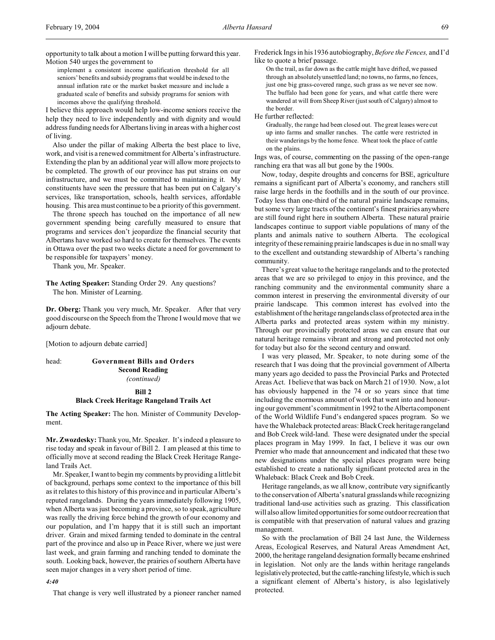opportunity to talk about a motion I will be putting forward this year. Motion 540 urges the government to

implement a consistent income qualification threshold for all seniors' benefits and subsidy programs that would be indexed to the annual inflation rate or the market basket measure and include a graduated scale of benefits and subsidy programs for seniors with incomes above the qualifying threshold.

I believe this approach would help low-income seniors receive the help they need to live independently and with dignity and would address funding needs for Albertans living in areas with a higher cost of living.

Also under the pillar of making Alberta the best place to live, work, and visit is a renewed commitment for Alberta's infrastructure. Extending the plan by an additional year will allow more projects to be completed. The growth of our province has put strains on our infrastructure, and we must be committed to maintaining it. My constituents have seen the pressure that has been put on Calgary's services, like transportation, schools, health services, affordable housing. This area must continue to be a priority of this government.

The throne speech has touched on the importance of all new government spending being carefully measured to ensure that programs and services don't jeopardize the financial security that Albertans have worked so hard to create for themselves. The events in Ottawa over the past two weeks dictate a need for government to be responsible for taxpayers' money.

Thank you, Mr. Speaker.

**The Acting Speaker:** Standing Order 29. Any questions? The hon. Minister of Learning.

**Dr. Oberg:** Thank you very much, Mr. Speaker. After that very good discourse on the Speech from the Throne I would move that we adjourn debate.

[Motion to adjourn debate carried]

# head: **Government Bills and Orders Second Reading** *(continued)*

# **Bill 2 Black Creek Heritage Rangeland Trails Act**

**The Acting Speaker:** The hon. Minister of Community Development.

**Mr. Zwozdesky:** Thank you, Mr. Speaker. It's indeed a pleasure to rise today and speak in favour of Bill 2. I am pleased at this time to officially move at second reading the Black Creek Heritage Rangeland Trails Act.

Mr. Speaker, I want to begin my comments by providing a little bit of background, perhaps some context to the importance of this bill as it relates to this history of this province and in particular Alberta's reputed rangelands. During the years immediately following 1905, when Alberta was just becoming a province, so to speak, agriculture was really the driving force behind the growth of our economy and our population, and I'm happy that it is still such an important driver. Grain and mixed farming tended to dominate in the central part of the province and also up in Peace River, where we just were last week, and grain farming and ranching tended to dominate the south. Looking back, however, the prairies of southern Alberta have seen major changes in a very short period of time.

#### *4:40*

That change is very well illustrated by a pioneer rancher named

Frederick Ings in his 1936 autobiography, *Before the Fences,* and I'd like to quote a brief passage.

On the trail, as far down as the cattle might have drifted, we passed through an absolutely unsettled land; no towns, no farms, no fences, just one big grass-covered range, such grass as we never see now. The buffalo had been gone for years, and what cattle there were wandered at will from Sheep River (just south of Calgary) almost to the border.

He further reflected:

Gradually, the range had been closed out. The great leases were cut up into farms and smaller ranches. The cattle were restricted in their wanderings by the home fence. Wheat took the place of cattle on the plains.

Ings was, of course, commenting on the passing of the open-range ranching era that was all but gone by the 1900s.

Now, today, despite droughts and concerns for BSE, agriculture remains a significant part of Alberta's economy, and ranchers still raise large herds in the foothills and in the south of our province. Today less than one-third of the natural prairie landscape remains, but some very large tracts of the continent's finest prairies anywhere are still found right here in southern Alberta. These natural prairie landscapes continue to support viable populations of many of the plants and animals native to southern Alberta. The ecological integrity of these remaining prairie landscapes is due in no small way to the excellent and outstanding stewardship of Alberta's ranching community.

There's great value to the heritage rangelands and to the protected areas that we are so privileged to enjoy in this province, and the ranching community and the environmental community share a common interest in preserving the environmental diversity of our prairie landscape. This common interest has evolved into the establishment of the heritage rangelands class of protected area in the Alberta parks and protected areas system within my ministry. Through our provincially protected areas we can ensure that our natural heritage remains vibrant and strong and protected not only for today but also for the second century and onward.

I was very pleased, Mr. Speaker, to note during some of the research that I was doing that the provincial government of Alberta many years ago decided to pass the Provincial Parks and Protected Areas Act. I believe that was back on March 21 of 1930. Now, a lot has obviously happened in the 74 or so years since that time including the enormous amount of work that went into and honouring our government's commitment in 1992 to the Alberta component of the World Wildlife Fund's endangered spaces program. So we have the Whaleback protected areas: Black Creek heritage rangeland and Bob Creek wild-land. These were designated under the special places program in May 1999. In fact, I believe it was our own Premier who made that announcement and indicated that these two new designations under the special places program were being established to create a nationally significant protected area in the Whaleback: Black Creek and Bob Creek.

Heritage rangelands, as we all know, contribute very significantly to the conservation of Alberta's natural grasslands while recognizing traditional land-use activities such as grazing. This classification will also allow limited opportunities for some outdoor recreation that is compatible with that preservation of natural values and grazing management.

So with the proclamation of Bill 24 last June, the Wilderness Areas, Ecological Reserves, and Natural Areas Amendment Act, 2000, the heritage rangeland designation formally became enshrined in legislation. Not only are the lands within heritage rangelands legislatively protected, but the cattle-ranching lifestyle, which is such a significant element of Alberta's history, is also legislatively protected.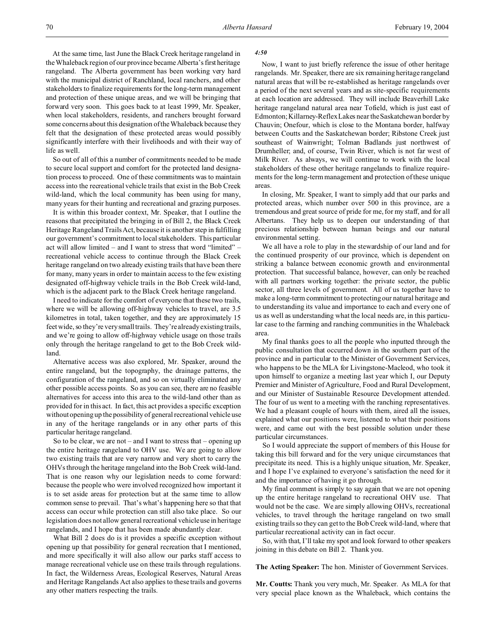At the same time, last June the Black Creek heritage rangeland in the Whaleback region of our province became Alberta's first heritage rangeland. The Alberta government has been working very hard with the municipal district of Ranchland, local ranchers, and other stakeholders to finalize requirements for the long-term management and protection of these unique areas, and we will be bringing that forward very soon. This goes back to at least 1999, Mr. Speaker, when local stakeholders, residents, and ranchers brought forward some concerns about this designation of the Whaleback because they felt that the designation of these protected areas would possibly significantly interfere with their livelihoods and with their way of life as well.

So out of all of this a number of commitments needed to be made to secure local support and comfort for the protected land designation process to proceed. One of these commitments was to maintain access into the recreational vehicle trails that exist in the Bob Creek wild-land, which the local community has been using for many, many years for their hunting and recreational and grazing purposes.

It is within this broader context, Mr. Speaker, that I outline the reasons that precipitated the bringing in of Bill 2, the Black Creek Heritage Rangeland Trails Act, because it is another step in fulfilling our government's commitment to local stakeholders. This particular act will allow limited – and I want to stress that word "limited" – recreational vehicle access to continue through the Black Creek heritage rangeland on two already existing trails that have been there for many, many years in order to maintain access to the few existing designated off-highway vehicle trails in the Bob Creek wild-land, which is the adjacent park to the Black Creek heritage rangeland.

I need to indicate for the comfort of everyone that these two trails, where we will be allowing off-highway vehicles to travel, are 3.5 kilometres in total, taken together, and they are approximately 15 feet wide, so they're very small trails. They're already existing trails, and we're going to allow off-highway vehicle usage on those trails only through the heritage rangeland to get to the Bob Creek wildland.

Alternative access was also explored, Mr. Speaker, around the entire rangeland, but the topography, the drainage patterns, the configuration of the rangeland, and so on virtually eliminated any other possible access points. So as you can see, there are no feasible alternatives for access into this area to the wild-land other than as provided for in this act. In fact, this act provides a specific exception without opening up the possibility of general recreational vehicle use in any of the heritage rangelands or in any other parts of this particular heritage rangeland.

So to be clear, we are not – and I want to stress that – opening up the entire heritage rangeland to OHV use. We are going to allow two existing trails that are very narrow and very short to carry the OHVs through the heritage rangeland into the Bob Creek wild-land. That is one reason why our legislation needs to come forward: because the people who were involved recognized how important it is to set aside areas for protection but at the same time to allow common sense to prevail. That's what's happening here so that that access can occur while protection can still also take place. So our legislation does not allow general recreational vehicle use in heritage rangelands, and I hope that has been made abundantly clear.

What Bill 2 does do is it provides a specific exception without opening up that possibility for general recreation that I mentioned, and more specifically it will also allow our parks staff access to manage recreational vehicle use on these trails through regulations. In fact, the Wilderness Areas, Ecological Reserves, Natural Areas and Heritage Rangelands Act also applies to these trails and governs any other matters respecting the trails.

#### *4:50*

Now, I want to just briefly reference the issue of other heritage rangelands. Mr. Speaker, there are six remaining heritage rangeland natural areas that will be re-established as heritage rangelands over a period of the next several years and as site-specific requirements at each location are addressed. They will include Beaverhill Lake heritage rangeland natural area near Tofield, which is just east of Edmonton; Killarney-Reflex Lakes near the Saskatchewan border by Chauvin; Onefour, which is close to the Montana border, halfway between Coutts and the Saskatchewan border; Ribstone Creek just southeast of Wainwright; Tolman Badlands just northwest of Drumheller; and, of course, Twin River, which is not far west of Milk River. As always, we will continue to work with the local stakeholders of these other heritage rangelands to finalize requirements for the long-term management and protection of these unique areas.

In closing, Mr. Speaker, I want to simply add that our parks and protected areas, which number over 500 in this province, are a tremendous and great source of pride for me, for my staff, and for all Albertans. They help us to deepen our understanding of that precious relationship between human beings and our natural environmental setting.

We all have a role to play in the stewardship of our land and for the continued prosperity of our province, which is dependent on striking a balance between economic growth and environmental protection. That successful balance, however, can only be reached with all partners working together: the private sector, the public sector, all three levels of government. All of us together have to make a long-term commitment to protecting our natural heritage and to understanding its value and importance to each and every one of us as well as understanding what the local needs are, in this particular case to the farming and ranching communities in the Whaleback area.

My final thanks goes to all the people who inputted through the public consultation that occurred down in the southern part of the province and in particular to the Minister of Government Services, who happens to be the MLA for Livingstone-Macleod, who took it upon himself to organize a meeting last year which I, our Deputy Premier and Minister of Agriculture, Food and Rural Development, and our Minister of Sustainable Resource Development attended. The four of us went to a meeting with the ranching representatives. We had a pleasant couple of hours with them, aired all the issues, explained what our positions were, listened to what their positions were, and came out with the best possible solution under these particular circumstances.

So I would appreciate the support of members of this House for taking this bill forward and for the very unique circumstances that precipitate its need. This is a highly unique situation, Mr. Speaker, and I hope I've explained to everyone's satisfaction the need for it and the importance of having it go through.

My final comment is simply to say again that we are not opening up the entire heritage rangeland to recreational OHV use. That would not be the case. We are simply allowing OHVs, recreational vehicles, to travel through the heritage rangeland on two small existing trails so they can get to the Bob Creek wild-land, where that particular recreational activity can in fact occur.

So, with that, I'll take my spot and look forward to other speakers joining in this debate on Bill 2. Thank you.

**The Acting Speaker:** The hon. Minister of Government Services.

**Mr. Coutts:** Thank you very much, Mr. Speaker. As MLA for that very special place known as the Whaleback, which contains the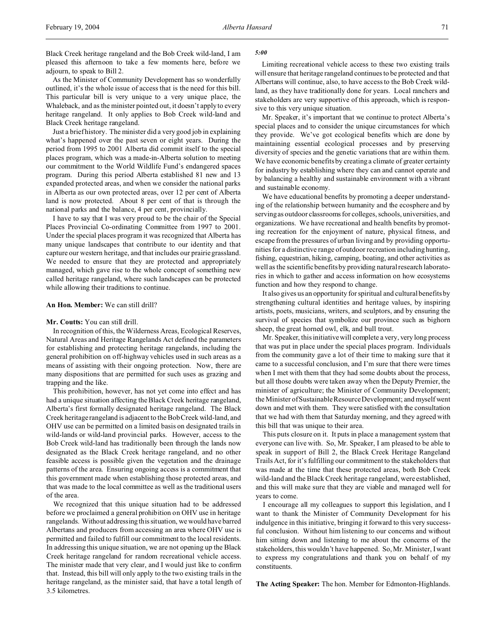Black Creek heritage rangeland and the Bob Creek wild-land, I am pleased this afternoon to take a few moments here, before we adjourn, to speak to Bill 2.

As the Minister of Community Development has so wonderfully outlined, it's the whole issue of access that is the need for this bill. This particular bill is very unique to a very unique place, the Whaleback, and as the minister pointed out, it doesn't apply to every heritage rangeland. It only applies to Bob Creek wild-land and Black Creek heritage rangeland.

Just a brief history. The minister did a very good job in explaining what's happened over the past seven or eight years. During the period from 1995 to 2001 Alberta did commit itself to the special places program, which was a made-in-Alberta solution to meeting our commitment to the World Wildlife Fund's endangered spaces program. During this period Alberta established 81 new and 13 expanded protected areas, and when we consider the national parks in Alberta as our own protected areas, over 12 per cent of Alberta land is now protected. About 8 per cent of that is through the national parks and the balance, 4 per cent, provincially.

I have to say that I was very proud to be the chair of the Special Places Provincial Co-ordinating Committee from 1997 to 2001. Under the special places program it was recognized that Alberta has many unique landscapes that contribute to our identity and that capture our western heritage, and that includes our prairie grassland. We needed to ensure that they are protected and appropriately managed, which gave rise to the whole concept of something new called heritage rangeland, where such landscapes can be protected while allowing their traditions to continue.

#### **An Hon. Member:** We can still drill?

#### **Mr. Coutts:** You can still drill.

In recognition of this, the Wilderness Areas, Ecological Reserves, Natural Areas and Heritage Rangelands Act defined the parameters for establishing and protecting heritage rangelands, including the general prohibition on off-highway vehicles used in such areas as a means of assisting with their ongoing protection. Now, there are many dispositions that are permitted for such uses as grazing and trapping and the like.

This prohibition, however, has not yet come into effect and has had a unique situation affecting the Black Creek heritage rangeland, Alberta's first formally designated heritage rangeland. The Black Creek heritage rangeland is adjacent to the Bob Creek wild-land, and OHV use can be permitted on a limited basis on designated trails in wild-lands or wild-land provincial parks. However, access to the Bob Creek wild-land has traditionally been through the lands now designated as the Black Creek heritage rangeland, and no other feasible access is possible given the vegetation and the drainage patterns of the area. Ensuring ongoing access is a commitment that this government made when establishing those protected areas, and that was made to the local committee as well as the traditional users of the area.

We recognized that this unique situation had to be addressed before we proclaimed a general prohibition on OHV use in heritage rangelands. Without addressing this situation, we would have barred Albertans and producers from accessing an area where OHV use is permitted and failed to fulfill our commitment to the local residents. In addressing this unique situation, we are not opening up the Black Creek heritage rangeland for random recreational vehicle access. The minister made that very clear, and I would just like to confirm that. Instead, this bill will only apply to the two existing trails in the heritage rangeland, as the minister said, that have a total length of 3.5 kilometres.

#### *5:00*

Limiting recreational vehicle access to these two existing trails will ensure that heritage rangeland continues to be protected and that Albertans will continue, also, to have access to the Bob Creek wildland, as they have traditionally done for years. Local ranchers and stakeholders are very supportive of this approach, which is responsive to this very unique situation.

Mr. Speaker, it's important that we continue to protect Alberta's special places and to consider the unique circumstances for which they provide. We've got ecological benefits which are done by maintaining essential ecological processes and by preserving diversity of species and the genetic variations that are within them. We have economic benefits by creating a climate of greater certainty for industry by establishing where they can and cannot operate and by balancing a healthy and sustainable environment with a vibrant and sustainable economy.

We have educational benefits by promoting a deeper understanding of the relationship between humanity and the ecosphere and by serving as outdoor classrooms for colleges, schools, universities, and organizations. We have recreational and health benefits by promoting recreation for the enjoyment of nature, physical fitness, and escape from the pressures of urban living and by providing opportunities for a distinctive range of outdoor recreation including hunting, fishing, equestrian, hiking, camping, boating, and other activities as well as the scientific benefits by providing natural research laboratories in which to gather and access information on how ecosystems function and how they respond to change.

It also gives us an opportunity for spiritual and cultural benefits by strengthening cultural identities and heritage values, by inspiring artists, poets, musicians, writers, and sculptors, and by ensuring the survival of species that symbolize our province such as bighorn sheep, the great horned owl, elk, and bull trout.

Mr. Speaker, this initiative will complete a very, very long process that was put in place under the special places program. Individuals from the community gave a lot of their time to making sure that it came to a successful conclusion, and I'm sure that there were times when I met with them that they had some doubts about the process, but all those doubts were taken away when the Deputy Premier, the minister of agriculture; the Minister of Community Development; the Minister of Sustainable Resource Development; and myself went down and met with them. They were satisfied with the consultation that we had with them that Saturday morning, and they agreed with this bill that was unique to their area.

This puts closure on it. It puts in place a management system that everyone can live with. So, Mr. Speaker, I am pleased to be able to speak in support of Bill 2, the Black Creek Heritage Rangeland Trails Act, for it's fulfilling our commitment to the stakeholders that was made at the time that these protected areas, both Bob Creek wild-land and the Black Creek heritage rangeland, were established, and this will make sure that they are viable and managed well for years to come.

I encourage all my colleagues to support this legislation, and I want to thank the Minister of Community Development for his indulgence in this initiative, bringing it forward to this very successful conclusion. Without him listening to our concerns and without him sitting down and listening to me about the concerns of the stakeholders, this wouldn't have happened. So, Mr. Minister, I want to express my congratulations and thank you on behalf of my constituents.

**The Acting Speaker:** The hon. Member for Edmonton-Highlands.